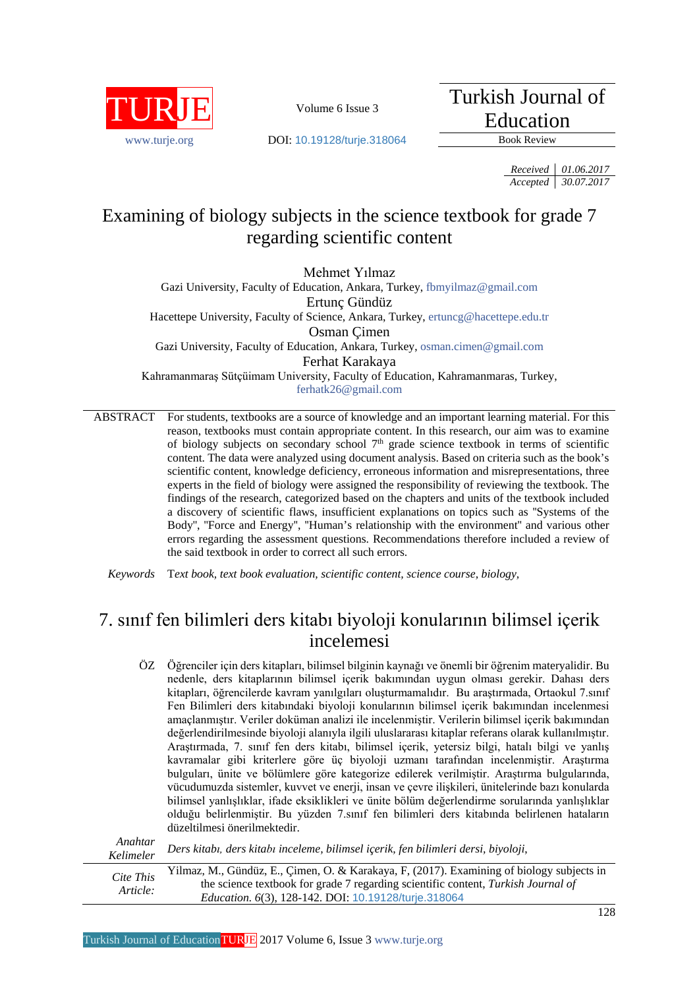

Turkish Journal of Education

[www.turje.org](http://www.turje.org/) **DOI:** [10.19128/turje.318064](http://dx.doi.org/10.19128/turje.318064) Book Review

*Received 01.06.2017 Accepted 30.07.2017*

# Examining of biology subjects in the science textbook for grade 7 regarding scientific content

Mehmet Yılmaz

Gazi University, Faculty of Education, Ankara, Turkey, [fbmyilmaz@gmail.com](mailto:fbmyilmaz@gmail.com) Ertunç Gündüz Hacettepe University, Faculty of Science, Ankara, Turkey, [ertuncg@hacettepe.edu.tr](mailto:ertuncg@hacettepe.edu.tr) Osman Çimen Gazi University, Faculty of Education, Ankara, Turkey, [osman.cimen@gmail.com](mailto:osman.cimen@gmail.com) Ferhat Karakaya Kahramanmaraş Sütçüimam University, Faculty of Education, Kahramanmaras, Turkey, [ferhatk26@gmail.com](mailto:ferhatk26@gmail.com)

ABSTRACT For students, textbooks are a source of knowledge and an important learning material. For this reason, textbooks must contain appropriate content. In this research, our aim was to examine of biology subjects on secondary school  $7<sup>th</sup>$  grade science textbook in terms of scientific content. The data were analyzed using document analysis. Based on criteria such as the book's scientific content, knowledge deficiency, erroneous information and misrepresentations, three experts in the field of biology were assigned the responsibility of reviewing the textbook. The findings of the research, categorized based on the chapters and units of the textbook included a discovery of scientific flaws, insufficient explanations on topics such as ''Systems of the Body", "Force and Energy", "Human's relationship with the environment" and various other errors regarding the assessment questions. Recommendations therefore included a review of the said textbook in order to correct all such errors.

*Keywords* T*ext book, text book evaluation, scientific content, science course, biology,*

# 7. sınıf fen bilimleri ders kitabı biyoloji konularının bilimsel içerik incelemesi

ÖZ Öğrenciler için ders kitapları, bilimsel bilginin kaynağı ve önemli bir öğrenim materyalidir. Bu nedenle, ders kitaplarının bilimsel içerik bakımından uygun olması gerekir. Dahası ders kitapları, öğrencilerde kavram yanılgıları oluşturmamalıdır. Bu araştırmada, Ortaokul 7.sınıf Fen Bilimleri ders kitabındaki biyoloji konularının bilimsel içerik bakımından incelenmesi amaçlanmıştır. Veriler doküman analizi ile incelenmiştir. Verilerin bilimsel içerik bakımından değerlendirilmesinde biyoloji alanıyla ilgili uluslararası kitaplar referans olarak kullanılmıştır. Araştırmada, 7. sınıf fen ders kitabı, bilimsel içerik, yetersiz bilgi, hatalı bilgi ve yanlış kavramalar gibi kriterlere göre üç biyoloji uzmanı tarafından incelenmiştir. Araştırma bulguları, ünite ve bölümlere göre kategorize edilerek verilmiştir. Araştırma bulgularında, vücudumuzda sistemler, kuvvet ve enerji, insan ve çevre ilişkileri, ünitelerinde bazı konularda bilimsel yanlışlıklar, ifade eksiklikleri ve ünite bölüm değerlendirme sorularında yanlışlıklar olduğu belirlenmiştir. Bu yüzden 7.sınıf fen bilimleri ders kitabında belirlenen hataların düzeltilmesi önerilmektedir.

| Anahtar<br>Kelimeler  | Ders kitabı, ders kitabı inceleme, bilimsel içerik, fen bilimleri dersi, biyoloji,                                                                                                                                                            |
|-----------------------|-----------------------------------------------------------------------------------------------------------------------------------------------------------------------------------------------------------------------------------------------|
| Cite This<br>Article: | Yilmaz, M., Gündüz, E., Çimen, O. & Karakaya, F, (2017). Examining of biology subjects in<br>the science textbook for grade 7 regarding scientific content, Turkish Journal of<br><i>Education.</i> 6(3), 128-142. DOI: 10.19128/turje.318064 |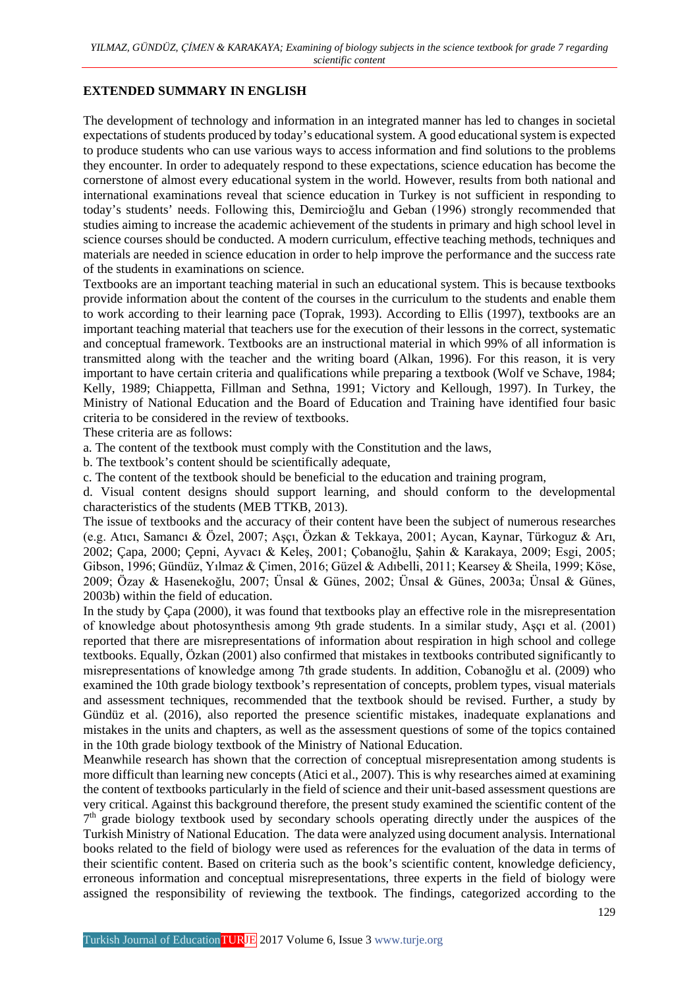### **EXTENDED SUMMARY IN ENGLISH**

The development of technology and information in an integrated manner has led to changes in societal expectations of students produced by today's educational system. A good educational system is expected to produce students who can use various ways to access information and find solutions to the problems they encounter. In order to adequately respond to these expectations, science education has become the cornerstone of almost every educational system in the world. However, results from both national and international examinations reveal that science education in Turkey is not sufficient in responding to today's students' needs. Following this, Demircioğlu and Geban (1996) strongly recommended that studies aiming to increase the academic achievement of the students in primary and high school level in science courses should be conducted. A modern curriculum, effective teaching methods, techniques and materials are needed in science education in order to help improve the performance and the success rate of the students in examinations on science.

Textbooks are an important teaching material in such an educational system. This is because textbooks provide information about the content of the courses in the curriculum to the students and enable them to work according to their learning pace (Toprak, 1993). According to Ellis (1997), textbooks are an important teaching material that teachers use for the execution of their lessons in the correct, systematic and conceptual framework. Textbooks are an instructional material in which 99% of all information is transmitted along with the teacher and the writing board (Alkan, 1996). For this reason, it is very important to have certain criteria and qualifications while preparing a textbook (Wolf ve Schave, 1984; Kelly, 1989; Chiappetta, Fillman and Sethna, 1991; Victory and Kellough, 1997). In Turkey, the Ministry of National Education and the Board of Education and Training have identified four basic criteria to be considered in the review of textbooks.

These criteria are as follows:

a. The content of the textbook must comply with the Constitution and the laws,

b. The textbook's content should be scientifically adequate,

c. The content of the textbook should be beneficial to the education and training program,

d. Visual content designs should support learning, and should conform to the developmental characteristics of the students (MEB TTKB, 2013).

The issue of textbooks and the accuracy of their content have been the subject of numerous researches (e.g. Atıcı, Samancı & Özel, 2007; Aşçı, Özkan & Tekkaya, 2001; Aycan, Kaynar, Türkoguz & Arı, 2002; Çapa, 2000; Çepni, Ayvacı & Keleş, 2001; Çobanoğlu, Şahin & Karakaya, 2009; Esgi, 2005; Gibson, 1996; Gündüz, Yılmaz & Çimen, 2016; Güzel & Adıbelli, 2011; Kearsey & Sheila, 1999; Köse, 2009; Özay & Hasenekoğlu, 2007; Ünsal & Günes, 2002; Ünsal & Günes, 2003a; Ünsal & Günes, 2003b) within the field of education.

In the study by Çapa (2000), it was found that textbooks play an effective role in the misrepresentation of knowledge about photosynthesis among 9th grade students. In a similar study, Aşçı et al. (2001) reported that there are misrepresentations of information about respiration in high school and college textbooks. Equally, Özkan (2001) also confirmed that mistakes in textbooks contributed significantly to misrepresentations of knowledge among 7th grade students. In addition, Cobanoğlu et al. (2009) who examined the 10th grade biology textbook's representation of concepts, problem types, visual materials and assessment techniques, recommended that the textbook should be revised. Further, a study by Gündüz et al. (2016), also reported the presence scientific mistakes, inadequate explanations and mistakes in the units and chapters, as well as the assessment questions of some of the topics contained in the 10th grade biology textbook of the Ministry of National Education.

Meanwhile research has shown that the correction of conceptual misrepresentation among students is more difficult than learning new concepts (Atici et al., 2007). This is why researches aimed at examining the content of textbooks particularly in the field of science and their unit-based assessment questions are very critical. Against this background therefore, the present study examined the scientific content of the  $7<sup>th</sup>$  grade biology textbook used by secondary schools operating directly under the auspices of the Turkish Ministry of National Education. The data were analyzed using document analysis. International books related to the field of biology were used as references for the evaluation of the data in terms of their scientific content. Based on criteria such as the book's scientific content, knowledge deficiency, erroneous information and conceptual misrepresentations, three experts in the field of biology were assigned the responsibility of reviewing the textbook. The findings, categorized according to the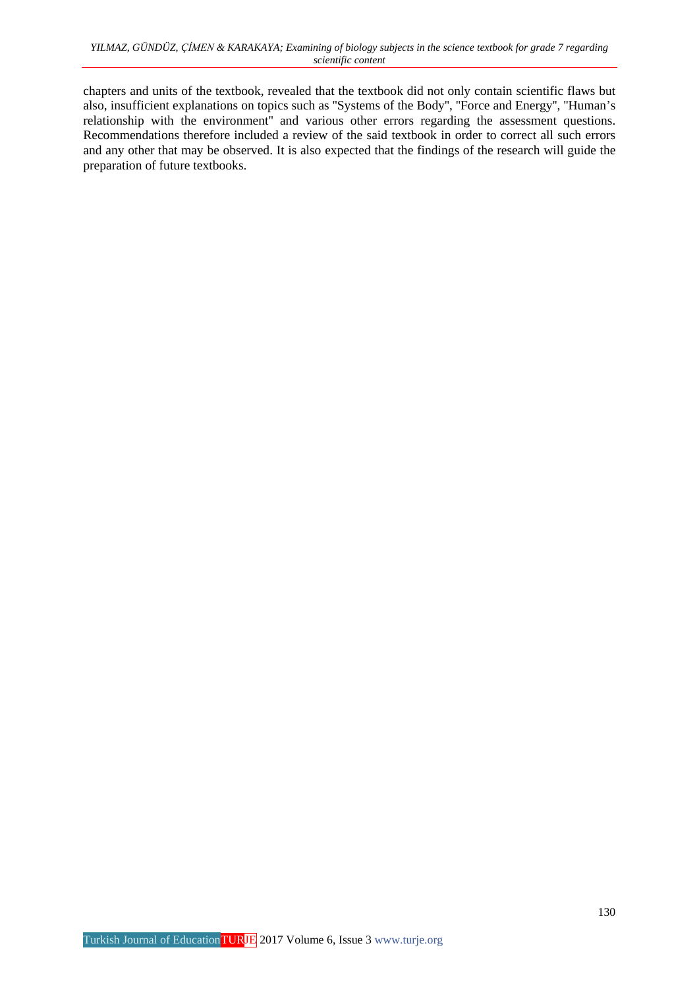chapters and units of the textbook, revealed that the textbook did not only contain scientific flaws but also, insufficient explanations on topics such as ''Systems of the Body'', ''Force and Energy'', ''Human's relationship with the environment'' and various other errors regarding the assessment questions. Recommendations therefore included a review of the said textbook in order to correct all such errors and any other that may be observed. It is also expected that the findings of the research will guide the preparation of future textbooks.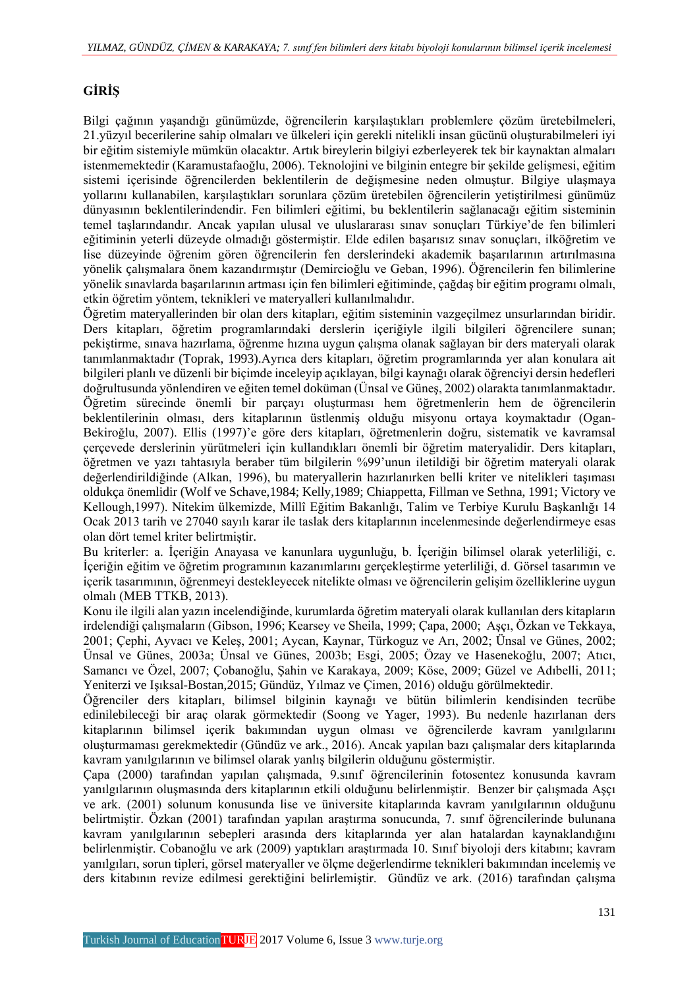# **GİRİŞ**

Bilgi çağının yaşandığı günümüzde, öğrencilerin karşılaştıkları problemlere çözüm üretebilmeleri, 21.yüzyıl becerilerine sahip olmaları ve ülkeleri için gerekli nitelikli insan gücünü oluşturabilmeleri iyi bir eğitim sistemiyle mümkün olacaktır. Artık bireylerin bilgiyi ezberleyerek tek bir kaynaktan almaları istenmemektedir (Karamustafaoğlu, 2006). Teknolojini ve bilginin entegre bir şekilde gelişmesi, eğitim sistemi içerisinde öğrencilerden beklentilerin de değişmesine neden olmuştur. Bilgiye ulaşmaya yollarını kullanabilen, karşılaştıkları sorunlara çözüm üretebilen öğrencilerin yetiştirilmesi günümüz dünyasının beklentilerindendir. Fen bilimleri eğitimi, bu beklentilerin sağlanacağı eğitim sisteminin temel taşlarındandır. Ancak yapılan ulusal ve uluslararası sınav sonuçları Türkiye'de fen bilimleri eğitiminin yeterli düzeyde olmadığı göstermiştir. Elde edilen başarısız sınav sonuçları, ilköğretim ve lise düzeyinde öğrenim gören öğrencilerin fen derslerindeki akademik başarılarının artırılmasına yönelik çalışmalara önem kazandırmıştır (Demircioğlu ve Geban, 1996). Öğrencilerin fen bilimlerine yönelik sınavlarda başarılarının artması için fen bilimleri eğitiminde, çağdaş bir eğitim programı olmalı, etkin öğretim yöntem, teknikleri ve materyalleri kullanılmalıdır.

Öğretim materyallerinden bir olan ders kitapları, eğitim sisteminin vazgeçilmez unsurlarından biridir. Ders kitapları, öğretim programlarındaki derslerin içeriğiyle ilgili bilgileri öğrencilere sunan; pekiştirme, sınava hazırlama, öğrenme hızına uygun çalışma olanak sağlayan bir ders materyali olarak tanımlanmaktadır (Toprak, 1993).Ayrıca ders kitapları, öğretim programlarında yer alan konulara ait bilgileri planlı ve düzenli bir biçimde inceleyip açıklayan, bilgi kaynağı olarak öğrenciyi dersin hedefleri doğrultusunda yönlendiren ve eğiten temel doküman (Ünsal ve Güneş, 2002) olarakta tanımlanmaktadır. Öğretim sürecinde önemli bir parçayı oluşturması hem öğretmenlerin hem de öğrencilerin beklentilerinin olması, ders kitaplarının üstlenmiş olduğu misyonu ortaya koymaktadır (Ogan-Bekiroğlu, 2007). Ellis (1997)'e göre ders kitapları, öğretmenlerin doğru, sistematik ve kavramsal çerçevede derslerinin yürütmeleri için kullandıkları önemli bir öğretim materyalidir. Ders kitapları, öğretmen ve yazı tahtasıyla beraber tüm bilgilerin %99'unun iletildiği bir öğretim materyali olarak değerlendirildiğinde (Alkan, 1996), bu materyallerin hazırlanırken belli kriter ve nitelikleri taşıması oldukça önemlidir (Wolf ve Schave,1984; Kelly,1989; Chiappetta, Fillman ve Sethna, 1991; Victory ve Kellough,1997). Nitekim ülkemizde, Millî Eğitim Bakanlığı, Talim ve Terbiye Kurulu Başkanlığı 14 Ocak 2013 tarih ve 27040 sayılı karar ile taslak ders kitaplarının incelenmesinde değerlendirmeye esas olan dört temel kriter belirtmiştir.

Bu kriterler: a. İçeriğin Anayasa ve kanunlara uygunluğu, b. İçeriğin bilimsel olarak yeterliliği, c. İçeriğin eğitim ve öğretim programının kazanımlarını gerçekleştirme yeterliliği, d. Görsel tasarımın ve içerik tasarımının, öğrenmeyi destekleyecek nitelikte olması ve öğrencilerin gelişim özelliklerine uygun olmalı (MEB TTKB, 2013).

Konu ile ilgili alan yazın incelendiğinde, kurumlarda öğretim materyali olarak kullanılan ders kitapların irdelendiği çalışmaların (Gibson, 1996; Kearsey ve Sheila, 1999; Çapa, 2000; Aşçı, Özkan ve Tekkaya, 2001; Çephi, Ayvacı ve Keleş, 2001; Aycan, Kaynar, Türkoguz ve Arı, 2002; Ünsal ve Günes, 2002; Ünsal ve Günes, 2003a; Ünsal ve Günes, 2003b; Esgi, 2005; Özay ve Hasenekoğlu, 2007; Atıcı, Samancı ve Özel, 2007; Çobanoğlu, Şahin ve Karakaya, 2009; Köse, 2009; Güzel ve Adıbelli, 2011; Yeniterzi ve Işıksal-Bostan,2015; Gündüz, Yılmaz ve Çimen, 2016) olduğu görülmektedir.

Öğrenciler ders kitapları, bilimsel bilginin kaynağı ve bütün bilimlerin kendisinden tecrübe edinilebileceği bir araç olarak görmektedir (Soong ve Yager, 1993). Bu nedenle hazırlanan ders kitaplarının bilimsel içerik bakımından uygun olması ve öğrencilerde kavram yanılgılarını oluşturmaması gerekmektedir (Gündüz ve ark., 2016). Ancak yapılan bazı çalışmalar ders kitaplarında kavram yanılgılarının ve bilimsel olarak yanlış bilgilerin olduğunu göstermiştir.

Çapa (2000) tarafından yapılan çalışmada, 9.sınıf öğrencilerinin fotosentez konusunda kavram yanılgılarının oluşmasında ders kitaplarının etkili olduğunu belirlenmiştir. Benzer bir çalışmada Aşçı ve ark. (2001) solunum konusunda lise ve üniversite kitaplarında kavram yanılgılarının olduğunu belirtmiştir. Özkan (2001) tarafından yapılan araştırma sonucunda, 7. sınıf öğrencilerinde bulunana kavram yanılgılarının sebepleri arasında ders kitaplarında yer alan hatalardan kaynaklandığını belirlenmiştir. Cobanoğlu ve ark (2009) yaptıkları araştırmada 10. Sınıf biyoloji ders kitabını; kavram yanılgıları, sorun tipleri, görsel materyaller ve ölçme değerlendirme teknikleri bakımından incelemiş ve ders kitabının revize edilmesi gerektiğini belirlemiştir. Gündüz ve ark. (2016) tarafından çalışma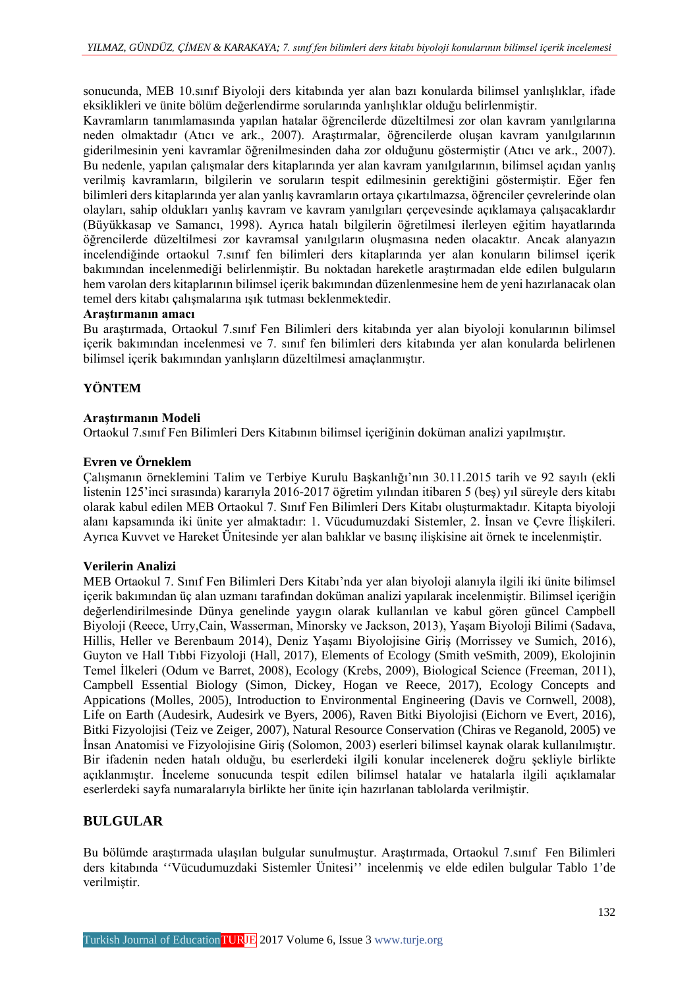sonucunda, MEB 10.sınıf Biyoloji ders kitabında yer alan bazı konularda bilimsel yanlışlıklar, ifade eksiklikleri ve ünite bölüm değerlendirme sorularında yanlışlıklar olduğu belirlenmiştir.

Kavramların tanımlamasında yapılan hatalar öğrencilerde düzeltilmesi zor olan kavram yanılgılarına neden olmaktadır (Atıcı ve ark., 2007). Araştırmalar, öğrencilerde oluşan kavram yanılgılarının giderilmesinin yeni kavramlar öğrenilmesinden daha zor olduğunu göstermiştir (Atıcı ve ark., 2007). Bu nedenle, yapılan çalışmalar ders kitaplarında yer alan kavram yanılgılarının, bilimsel açıdan yanlış verilmiş kavramların, bilgilerin ve soruların tespit edilmesinin gerektiğini göstermiştir. Eğer fen bilimleri ders kitaplarında yer alan yanlış kavramların ortaya çıkartılmazsa, öğrenciler çevrelerinde olan olayları, sahip oldukları yanlış kavram ve kavram yanılgıları çerçevesinde açıklamaya çalışacaklardır (Büyükkasap ve Samancı, 1998). Ayrıca hatalı bilgilerin öğretilmesi ilerleyen eğitim hayatlarında öğrencilerde düzeltilmesi zor kavramsal yanılgıların oluşmasına neden olacaktır. Ancak alanyazın incelendiğinde ortaokul 7.sınıf fen bilimleri ders kitaplarında yer alan konuların bilimsel içerik bakımından incelenmediği belirlenmiştir. Bu noktadan hareketle araştırmadan elde edilen bulguların hem varolan ders kitaplarının bilimsel içerik bakımından düzenlenmesine hem de yeni hazırlanacak olan temel ders kitabı çalışmalarına ışık tutması beklenmektedir.

#### **Araştırmanın amacı**

Bu araştırmada, Ortaokul 7.sınıf Fen Bilimleri ders kitabında yer alan biyoloji konularının bilimsel içerik bakımından incelenmesi ve 7. sınıf fen bilimleri ders kitabında yer alan konularda belirlenen bilimsel içerik bakımından yanlışların düzeltilmesi amaçlanmıştır.

# **YÖNTEM**

### **Araştırmanın Modeli**

Ortaokul 7.sınıf Fen Bilimleri Ders Kitabının bilimsel içeriğinin doküman analizi yapılmıştır.

### **Evren ve Örneklem**

Çalışmanın örneklemini Talim ve Terbiye Kurulu Başkanlığı'nın 30.11.2015 tarih ve 92 sayılı (ekli listenin 125'inci sırasında) kararıyla 2016-2017 öğretim yılından itibaren 5 (beş) yıl süreyle ders kitabı olarak kabul edilen MEB Ortaokul 7. Sınıf Fen Bilimleri Ders Kitabı oluşturmaktadır. Kitapta biyoloji alanı kapsamında iki ünite yer almaktadır: 1. Vücudumuzdaki Sistemler, 2. İnsan ve Çevre İlişkileri. Ayrıca Kuvvet ve Hareket Ünitesinde yer alan balıklar ve basınç ilişkisine ait örnek te incelenmiştir.

#### **Verilerin Analizi**

MEB Ortaokul 7. Sınıf Fen Bilimleri Ders Kitabı'nda yer alan biyoloji alanıyla ilgili iki ünite bilimsel içerik bakımından üç alan uzmanı tarafından doküman analizi yapılarak incelenmiştir. Bilimsel içeriğin değerlendirilmesinde Dünya genelinde yaygın olarak kullanılan ve kabul gören güncel Campbell Biyoloji (Reece, Urry,Cain, Wasserman, Minorsky ve Jackson, 2013), Yaşam Biyoloji Bilimi (Sadava, Hillis, Heller ve Berenbaum 2014), Deniz Yaşamı Biyolojisine Giriş (Morrissey ve Sumich, 2016), Guyton ve Hall Tıbbi Fizyoloji (Hall, 2017), Elements of Ecology (Smith veSmith, 2009), Ekolojinin Temel İlkeleri (Odum ve Barret, 2008), Ecology (Krebs, 2009), Biological Science (Freeman, 2011), Campbell Essential Biology (Simon, Dickey, Hogan ve Reece, 2017), Ecology Concepts and Appications (Molles, 2005), Introduction to Environmental Engineering (Davis ve Cornwell, 2008), Life on Earth (Audesirk, Audesirk ve Byers, 2006), Raven Bitki Biyolojisi (Eichorn ve Evert, 2016), Bitki Fizyolojisi (Teiz ve Zeiger, 2007), Natural Resource Conservation (Chiras ve Reganold, 2005) ve İnsan Anatomisi ve Fizyolojisine Giriş (Solomon, 2003) eserleri bilimsel kaynak olarak kullanılmıştır. Bir ifadenin neden hatalı olduğu, bu eserlerdeki ilgili konular incelenerek doğru şekliyle birlikte açıklanmıştır. İnceleme sonucunda tespit edilen bilimsel hatalar ve hatalarla ilgili açıklamalar eserlerdeki sayfa numaralarıyla birlikte her ünite için hazırlanan tablolarda verilmiştir.

# **BULGULAR**

Bu bölümde araştırmada ulaşılan bulgular sunulmuştur. Araştırmada, Ortaokul 7.sınıf Fen Bilimleri ders kitabında ''Vücudumuzdaki Sistemler Ünitesi'' incelenmiş ve elde edilen bulgular Tablo 1'de verilmiştir.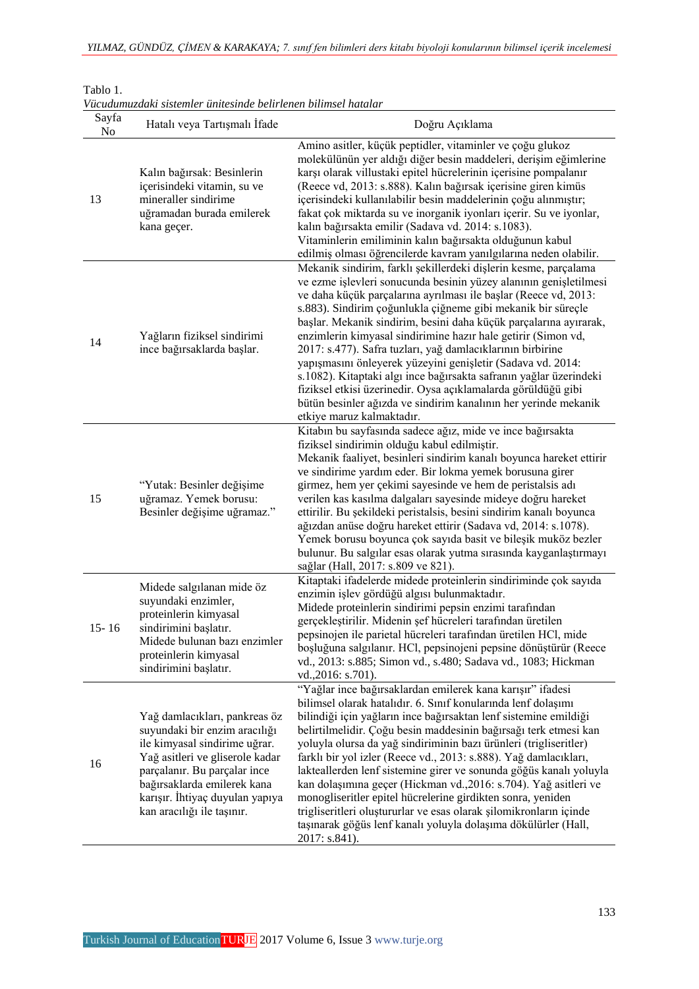| Sayfa<br>N <sub>0</sub> | Hatalı veya Tartışmalı İfade                                                                                                                                                                                                                                       | Doğru Açıklama                                                                                                                                                                                                                                                                                                                                                                                                                                                                                                                                                                                                                                                                                                                                                                    |
|-------------------------|--------------------------------------------------------------------------------------------------------------------------------------------------------------------------------------------------------------------------------------------------------------------|-----------------------------------------------------------------------------------------------------------------------------------------------------------------------------------------------------------------------------------------------------------------------------------------------------------------------------------------------------------------------------------------------------------------------------------------------------------------------------------------------------------------------------------------------------------------------------------------------------------------------------------------------------------------------------------------------------------------------------------------------------------------------------------|
| 13                      | Kalın bağırsak: Besinlerin<br>içerisindeki vitamin, su ve<br>mineraller sindirime<br>uğramadan burada emilerek<br>kana geçer.                                                                                                                                      | Amino asitler, küçük peptidler, vitaminler ve çoğu glukoz<br>molekülünün yer aldığı diğer besin maddeleri, derişim eğimlerine<br>karşı olarak villustaki epitel hücrelerinin içerisine pompalanır<br>(Reece vd, 2013: s.888). Kalın bağırsak içerisine giren kimüs<br>içerisindeki kullanılabilir besin maddelerinin çoğu alınmıştır;<br>fakat çok miktarda su ve inorganik iyonları içerir. Su ve iyonlar,<br>kalın bağırsakta emilir (Sadava vd. 2014: s.1083).<br>Vitaminlerin emiliminin kalın bağırsakta olduğunun kabul<br>edilmiş olması öğrencilerde kavram yanılgılarına neden olabilir.                                                                                                                                                                                 |
| 14                      | Yağların fiziksel sindirimi<br>ince bağırsaklarda başlar.                                                                                                                                                                                                          | Mekanik sindirim, farklı şekillerdeki dişlerin kesme, parçalama<br>ve ezme işlevleri sonucunda besinin yüzey alanının genişletilmesi<br>ve daha küçük parçalarına ayrılması ile başlar (Reece vd, 2013:<br>s.883). Sindirim çoğunlukla çiğneme gibi mekanik bir süreçle<br>başlar. Mekanik sindirim, besini daha küçük parçalarına ayırarak,<br>enzimlerin kimyasal sindirimine hazır hale getirir (Simon vd,<br>2017: s.477). Safra tuzları, yağ damlacıklarının birbirine<br>yapışmasını önleyerek yüzeyini genişletir (Sadava vd. 2014:<br>s.1082). Kitaptaki algı ince bağırsakta safranın yağlar üzerindeki<br>fiziksel etkisi üzerinedir. Oysa açıklamalarda görüldüğü gibi<br>bütün besinler ağızda ve sindirim kanalının her yerinde mekanik<br>etkiye maruz kalmaktadır. |
| 15                      | "Yutak: Besinler değişime<br>uğramaz. Yemek borusu:<br>Besinler değişime uğramaz."                                                                                                                                                                                 | Kitabın bu sayfasında sadece ağız, mide ve ince bağırsakta<br>fiziksel sindirimin olduğu kabul edilmiştir.<br>Mekanik faaliyet, besinleri sindirim kanalı boyunca hareket ettirir<br>ve sindirime yardım eder. Bir lokma yemek borusuna girer<br>girmez, hem yer çekimi sayesinde ve hem de peristalsis adı<br>verilen kas kasılma dalgaları sayesinde mideye doğru hareket<br>ettirilir. Bu şekildeki peristalsis, besini sindirim kanalı boyunca<br>ağızdan anüse doğru hareket ettirir (Sadava vd, 2014: s.1078).<br>Yemek borusu boyunca çok sayıda basit ve bileşik muköz bezler<br>bulunur. Bu salgılar esas olarak yutma sırasında kayganlaştırmayı<br>sağlar (Hall, 2017: s.809 ve 821).                                                                                  |
| $15 - 16$               | Midede salgılanan mide öz<br>suyundaki enzimler,<br>proteinlerin kimyasal<br>sindirimini başlatır.<br>Midede bulunan bazı enzimler<br>proteinlerin kimyasal<br>sindirimini başlatır.                                                                               | Kitaptaki ifadelerde midede proteinlerin sindiriminde çok sayıda<br>enzimin işlev gördüğü algısı bulunmaktadır.<br>Midede proteinlerin sindirimi pepsin enzimi tarafından<br>gerçekleştirilir. Midenin şef hücreleri tarafından üretilen<br>pepsinojen ile parietal hücreleri tarafından üretilen HCl, mide<br>boşluğuna salgılanır. HCl, pepsinojeni pepsine dönüştürür (Reece<br>vd., 2013: s.885; Simon vd., s.480; Sadava vd., 1083; Hickman<br>vd., 2016: s.701).                                                                                                                                                                                                                                                                                                            |
| 16                      | Yağ damlacıkları, pankreas öz<br>suyundaki bir enzim aracılığı<br>ile kimyasal sindirime uğrar.<br>Yağ asitleri ve gliserole kadar<br>parçalanır. Bu parçalar ince<br>bağırsaklarda emilerek kana<br>karışır. İhtiyaç duyulan yapıya<br>kan aracılığı ile taşınır. | "Yağlar ince bağırsaklardan emilerek kana karışır" ifadesi<br>bilimsel olarak hatalıdır. 6. Sınıf konularında lenf dolaşımı<br>bilindiği için yağların ince bağırsaktan lenf sistemine emildiği<br>belirtilmelidir. Çoğu besin maddesinin bağırsağı terk etmesi kan<br>yoluyla olursa da yağ sindiriminin bazı ürünleri (trigliseritler)<br>farklı bir yol izler (Reece vd., 2013: s.888). Yağ damlacıkları,<br>lakteallerden lenf sistemine girer ve sonunda göğüs kanalı yoluyla<br>kan dolaşımına geçer (Hickman vd., 2016: s. 704). Yağ asitleri ve<br>monogliseritler epitel hücrelerine girdikten sonra, yeniden<br>trigliseritleri oluştururlar ve esas olarak şilomikronların içinde<br>taşınarak göğüs lenf kanalı yoluyla dolaşıma dökülürler (Hall,<br>2017: s.841).   |

#### Tablo 1. *Vücudumuzdaki sistemler ünitesinde belirlenen bilimsel hatalar*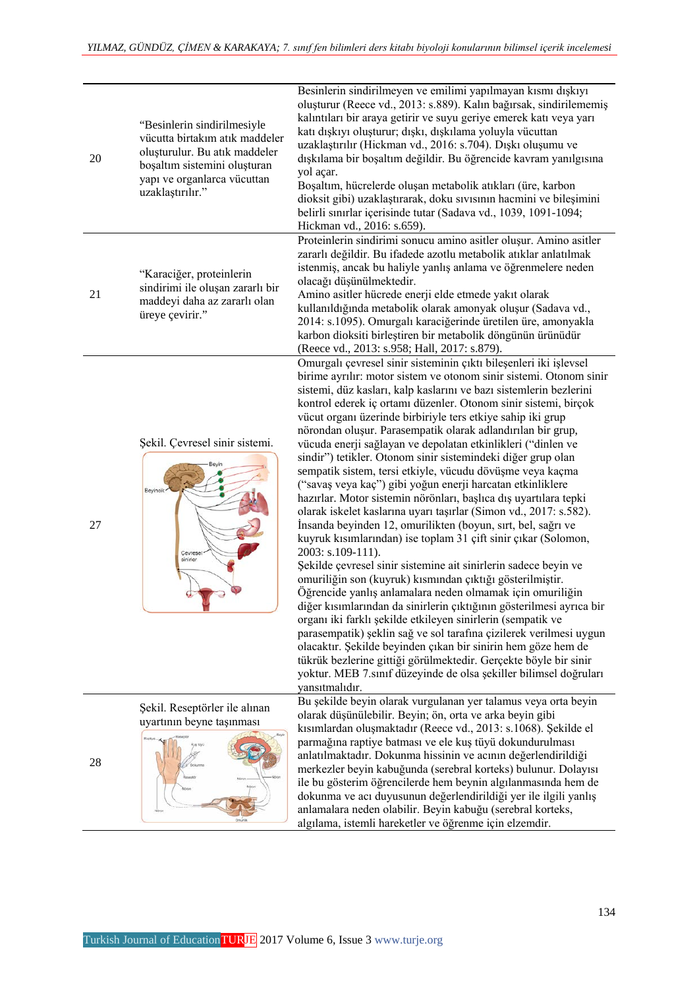| 20 | "Besinlerin sindirilmesiyle<br>vücutta birtakım atık maddeler<br>oluşturulur. Bu atık maddeler<br>boşaltım sistemini oluşturan<br>yapı ve organlarca vücuttan<br>uzaklaştırılır." | Besinlerin sindirilmeyen ve emilimi yapılmayan kısmı dışkıyı<br>oluşturur (Reece vd., 2013: s.889). Kalın bağırsak, sindirilememiş<br>kalıntıları bir araya getirir ve suyu geriye emerek katı veya yarı<br>katı dışkıyı oluşturur; dışkı, dışkılama yoluyla vücuttan<br>uzaklaştırılır (Hickman vd., 2016: s.704). Dışkı oluşumu ve<br>dışkılama bir boşaltım değildir. Bu öğrencide kavram yanılgısına<br>yol açar.<br>Boşaltım, hücrelerde oluşan metabolik atıkları (üre, karbon<br>dioksit gibi) uzaklaştırarak, doku sıvısının hacmini ve bileşimini<br>belirli sınırlar içerisinde tutar (Sadava vd., 1039, 1091-1094;<br>Hickman vd., 2016: s.659).                                                                                                                                                                                                                                                                                                                                                                                                                                                                                                                                                                                                                                                                                                                                                                                                                                                                                                                                                     |
|----|-----------------------------------------------------------------------------------------------------------------------------------------------------------------------------------|-----------------------------------------------------------------------------------------------------------------------------------------------------------------------------------------------------------------------------------------------------------------------------------------------------------------------------------------------------------------------------------------------------------------------------------------------------------------------------------------------------------------------------------------------------------------------------------------------------------------------------------------------------------------------------------------------------------------------------------------------------------------------------------------------------------------------------------------------------------------------------------------------------------------------------------------------------------------------------------------------------------------------------------------------------------------------------------------------------------------------------------------------------------------------------------------------------------------------------------------------------------------------------------------------------------------------------------------------------------------------------------------------------------------------------------------------------------------------------------------------------------------------------------------------------------------------------------------------------------------|
| 21 | "Karaciğer, proteinlerin<br>sindirimi ile oluşan zararlı bir<br>maddeyi daha az zararlı olan<br>üreye çevirir."                                                                   | Proteinlerin sindirimi sonucu amino asitler oluşur. Amino asitler<br>zararlı değildir. Bu ifadede azotlu metabolik atıklar anlatılmak<br>istenmiş, ancak bu haliyle yanlış anlama ve öğrenmelere neden<br>olacağı düşünülmektedir.<br>Amino asitler hücrede enerji elde etmede yakıt olarak<br>kullanıldığında metabolik olarak amonyak oluşur (Sadava vd.,<br>2014: s.1095). Omurgalı karaciğerinde üretilen üre, amonyakla<br>karbon dioksiti birleştiren bir metabolik döngünün ürünüdür<br>(Reece vd., 2013: s.958; Hall, 2017: s.879).                                                                                                                                                                                                                                                                                                                                                                                                                                                                                                                                                                                                                                                                                                                                                                                                                                                                                                                                                                                                                                                                     |
| 27 | Şekil. Çevresel sinir sistemi.<br>Beyincik<br>Cevresei<br>sinirler                                                                                                                | Omurgalı çevresel sinir sisteminin çıktı bileşenleri iki işlevsel<br>birime ayrılır: motor sistem ve otonom sinir sistemi. Otonom sinir<br>sistemi, düz kasları, kalp kaslarını ve bazı sistemlerin bezlerini<br>kontrol ederek iç ortamı düzenler. Otonom sinir sistemi, birçok<br>vücut organı üzerinde birbiriyle ters etkiye sahip iki grup<br>nörondan oluşur. Parasempatik olarak adlandırılan bir grup,<br>vücuda enerji sağlayan ve depolatan etkinlikleri ("dinlen ve<br>sindir") tetikler. Otonom sinir sistemindeki diğer grup olan<br>sempatik sistem, tersi etkiyle, vücudu dövüşme veya kaçma<br>("savaş veya kaç") gibi yoğun enerji harcatan etkinliklere<br>hazırlar. Motor sistemin nörönları, başlıca dış uyartılara tepki<br>olarak iskelet kaslarına uyarı taşırlar (Simon vd., 2017: s.582).<br>İnsanda beyinden 12, omurilikten (boyun, sırt, bel, sağrı ve<br>kuyruk kısımlarından) ise toplam 31 çift sinir çıkar (Solomon,<br>2003: s.109-111).<br>Şekilde çevresel sinir sistemine ait sinirlerin sadece beyin ve<br>omuriliğin son (kuyruk) kısmından çıktığı gösterilmiştir.<br>Öğrencide yanlış anlamalara neden olmamak için omuriliğin<br>diğer kısımlarından da sinirlerin çıktığının gösterilmesi ayrıca bir<br>organı iki farklı şekilde etkileyen sinirlerin (sempatik ve<br>parasempatik) şeklin sağ ve sol tarafına çizilerek verilmesi uygun<br>olacaktır. Şekilde beyinden çıkan bir sinirin hem göze hem de<br>tükrük bezlerine gittiği görülmektedir. Gerçekte böyle bir sinir<br>yoktur. MEB 7.sınıf düzeyinde de olsa şekiller bilimsel doğruları<br>yansıtmalıdır. |
| 28 | Şekil. Reseptörler ile alınan<br>uyartının beyne taşınması                                                                                                                        | Bu şekilde beyin olarak vurgulanan yer talamus veya orta beyin<br>olarak düşünülebilir. Beyin; ön, orta ve arka beyin gibi<br>kısımlardan oluşmaktadır (Reece vd., 2013: s.1068). Şekilde el<br>parmağına raptiye batması ve ele kuş tüyü dokundurulması<br>anlatılmaktadır. Dokunma hissinin ve acının değerlendirildiği<br>merkezler beyin kabuğunda (serebral korteks) bulunur. Dolayısı<br>ile bu gösterim öğrencilerde hem beynin algılanmasında hem de<br>dokunma ve acı duyusunun değerlendirildiği yer ile ilgili yanlış<br>anlamalara neden olabilir. Beyin kabuğu (serebral korteks,<br>algılama, istemli hareketler ve öğrenme için elzemdir.                                                                                                                                                                                                                                                                                                                                                                                                                                                                                                                                                                                                                                                                                                                                                                                                                                                                                                                                                        |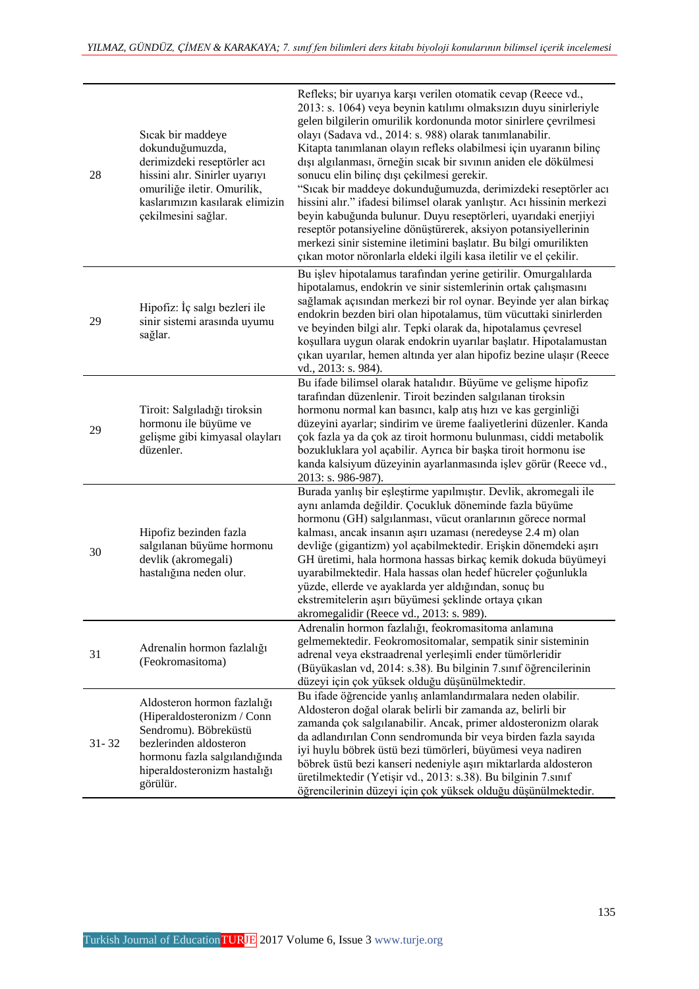| 28        | Sicak bir maddeye<br>dokunduğumuzda,<br>derimizdeki reseptörler acı<br>hissini alır. Sinirler uyarıyı<br>omuriliğe iletir. Omurilik,<br>kaslarımızın kasılarak elimizin<br>çekilmesini sağlar. | Refleks; bir uyarıya karşı verilen otomatik cevap (Reece vd.,<br>2013: s. 1064) veya beynin katılımı olmaksızın duyu sinirleriyle<br>gelen bilgilerin omurilik kordonunda motor sinirlere çevrilmesi<br>olayı (Sadava vd., 2014: s. 988) olarak tanımlanabilir.<br>Kitapta tanımlanan olayın refleks olabilmesi için uyaranın bilinç<br>dışı algılanması, örneğin sıcak bir sıvının aniden ele dökülmesi<br>sonucu elin bilinç dışı çekilmesi gerekir.<br>"Sıcak bir maddeye dokunduğumuzda, derimizdeki reseptörler acı<br>hissini alır." ifadesi bilimsel olarak yanlıştır. Acı hissinin merkezi<br>beyin kabuğunda bulunur. Duyu reseptörleri, uyarıdaki enerjiyi<br>reseptör potansiyeline dönüştürerek, aksiyon potansiyellerinin<br>merkezi sinir sistemine iletimini başlatır. Bu bilgi omurilikten |
|-----------|------------------------------------------------------------------------------------------------------------------------------------------------------------------------------------------------|------------------------------------------------------------------------------------------------------------------------------------------------------------------------------------------------------------------------------------------------------------------------------------------------------------------------------------------------------------------------------------------------------------------------------------------------------------------------------------------------------------------------------------------------------------------------------------------------------------------------------------------------------------------------------------------------------------------------------------------------------------------------------------------------------------|
|           |                                                                                                                                                                                                | çıkan motor nöronlarla eldeki ilgili kasa iletilir ve el çekilir.<br>Bu işlev hipotalamus tarafından yerine getirilir. Omurgalılarda                                                                                                                                                                                                                                                                                                                                                                                                                                                                                                                                                                                                                                                                       |
| 29        | Hipofiz: İç salgı bezleri ile<br>sinir sistemi arasında uyumu<br>sağlar.                                                                                                                       | hipotalamus, endokrin ve sinir sistemlerinin ortak çalışmasını<br>sağlamak açısından merkezi bir rol oynar. Beyinde yer alan birkaç<br>endokrin bezden biri olan hipotalamus, tüm vücuttaki sinirlerden<br>ve beyinden bilgi alır. Tepki olarak da, hipotalamus çevresel<br>koşullara uygun olarak endokrin uyarılar başlatır. Hipotalamustan<br>çıkan uyarılar, hemen altında yer alan hipofiz bezine ulaşır (Reece<br>vd., 2013: s. 984).                                                                                                                                                                                                                                                                                                                                                                |
| 29        | Tiroit: Salgıladığı tiroksin<br>hormonu ile büyüme ve<br>gelişme gibi kimyasal olayları<br>düzenler.                                                                                           | Bu ifade bilimsel olarak hatalıdır. Büyüme ve gelişme hipofiz<br>tarafından düzenlenir. Tiroit bezinden salgılanan tiroksin<br>hormonu normal kan basıncı, kalp atış hızı ve kas gerginliği<br>düzeyini ayarlar; sindirim ve üreme faaliyetlerini düzenler. Kanda<br>çok fazla ya da çok az tiroit hormonu bulunması, ciddi metabolik<br>bozukluklara yol açabilir. Ayrıca bir başka tiroit hormonu ise<br>kanda kalsiyum düzeyinin ayarlanmasında işlev görür (Reece vd.,<br>2013: s. 986-987).                                                                                                                                                                                                                                                                                                           |
| 30        | Hipofiz bezinden fazla<br>salgılanan büyüme hormonu<br>devlik (akromegali)<br>hastalığına neden olur.                                                                                          | Burada yanlış bir eşleştirme yapılmıştır. Devlik, akromegali ile<br>aynı anlamda değildir. Çocukluk döneminde fazla büyüme<br>hormonu (GH) salgılanması, vücut oranlarının görece normal<br>kalması, ancak insanın aşırı uzaması (neredeyse 2.4 m) olan<br>devliğe (gigantizm) yol açabilmektedir. Erişkin dönemdeki aşırı<br>GH üretimi, hala hormona hassas birkaç kemik dokuda büyümeyi<br>uyarabilmektedir. Hala hassas olan hedef hücreler çoğunlukla<br>yüzde, ellerde ve ayaklarda yer aldığından, sonuç bu<br>ekstremitelerin aşırı büyümesi şeklinde ortaya çıkan<br>akromegalidir (Reece vd., 2013: s. 989).                                                                                                                                                                                     |
| 31        | Adrenalin hormon fazlalığı<br>(Feokromasitoma)                                                                                                                                                 | Adrenalin hormon fazlalığı, feokromasitoma anlamına<br>gelmemektedir. Feokromositomalar, sempatik sinir sisteminin<br>adrenal veya ekstraadrenal yerleşimli ender tümörleridir<br>(Büyükaslan vd, 2014: s.38). Bu bilginin 7.sınıf öğrencilerinin<br>düzeyi için çok yüksek olduğu düşünülmektedir.                                                                                                                                                                                                                                                                                                                                                                                                                                                                                                        |
| $31 - 32$ | Aldosteron hormon fazlalığı<br>(Hiperaldosteronizm / Conn<br>Sendromu). Böbreküstü<br>bezlerinden aldosteron<br>hormonu fazla salgılandığında<br>hiperaldosteronizm hastalığı<br>görülür.      | Bu ifade öğrencide yanlış anlamlandırmalara neden olabilir.<br>Aldosteron doğal olarak belirli bir zamanda az, belirli bir<br>zamanda çok salgılanabilir. Ancak, primer aldosteronizm olarak<br>da adlandırılan Conn sendromunda bir veya birden fazla sayıda<br>iyi huylu böbrek üstü bezi tümörleri, büyümesi veya nadiren<br>böbrek üstü bezi kanseri nedeniyle aşırı miktarlarda aldosteron<br>üretilmektedir (Yetişir vd., 2013: s.38). Bu bilginin 7.sınıf<br>öğrencilerinin düzeyi için çok yüksek olduğu düşünülmektedir.                                                                                                                                                                                                                                                                          |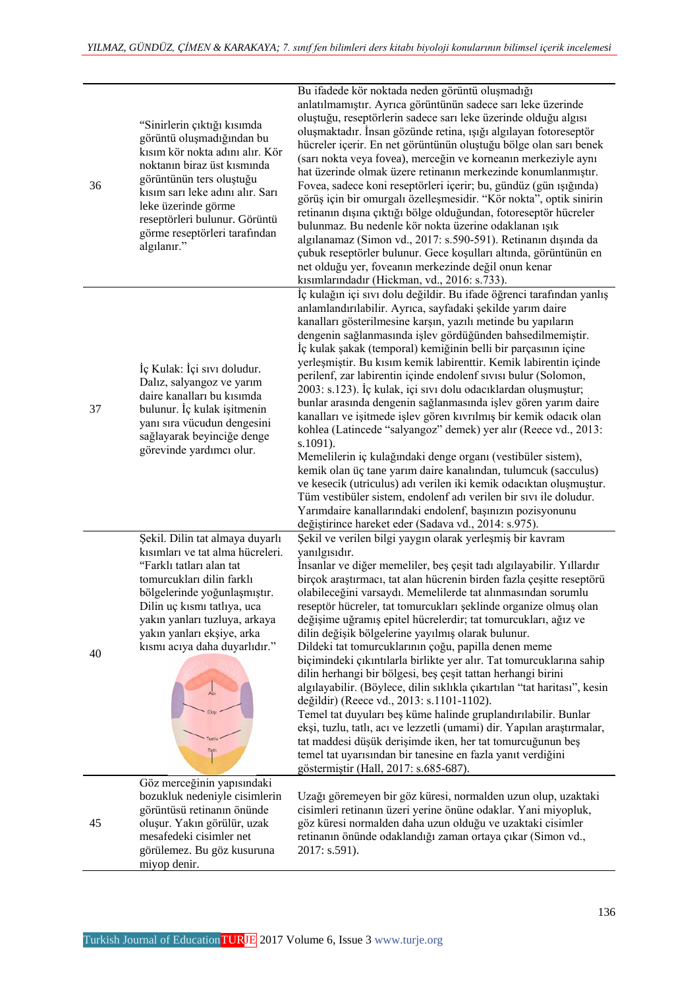| 36 | "Sinirlerin çıktığı kısımda<br>görüntü oluşmadığından bu<br>kısım kör nokta adını alır. Kör<br>noktanın biraz üst kısmında<br>görüntünün ters oluştuğu<br>kısım sarı leke adını alır. Sarı<br>leke üzerinde görme<br>reseptörleri bulunur. Görüntü<br>görme reseptörleri tarafından<br>algılanır." | Bu ifadede kör noktada neden görüntü oluşmadığı<br>anlatılmamıştır. Ayrıca görüntünün sadece sarı leke üzerinde<br>oluştuğu, reseptörlerin sadece sarı leke üzerinde olduğu algısı<br>oluşmaktadır. İnsan gözünde retina, ışığı algılayan fotoreseptör<br>hücreler içerir. En net görüntünün oluştuğu bölge olan sarı benek<br>(sarı nokta veya fovea), merceğin ve korneanın merkeziyle aynı<br>hat üzerinde olmak üzere retinanın merkezinde konumlanmıştır.<br>Fovea, sadece koni reseptörleri içerir; bu, gündüz (gün ışığında)<br>görüş için bir omurgalı özelleşmesidir. "Kör nokta", optik sinirin<br>retinanın dışına çıktığı bölge olduğundan, fotoreseptör hücreler<br>bulunmaz. Bu nedenle kör nokta üzerine odaklanan ışık<br>algılanamaz (Simon vd., 2017: s.590-591). Retinanın dışında da<br>çubuk reseptörler bulunur. Gece koşulları altında, görüntünün en<br>net olduğu yer, foveanın merkezinde değil onun kenar<br>kısımlarındadır (Hickman, vd., 2016: s.733).                                                                                                                                                                                  |
|----|----------------------------------------------------------------------------------------------------------------------------------------------------------------------------------------------------------------------------------------------------------------------------------------------------|-----------------------------------------------------------------------------------------------------------------------------------------------------------------------------------------------------------------------------------------------------------------------------------------------------------------------------------------------------------------------------------------------------------------------------------------------------------------------------------------------------------------------------------------------------------------------------------------------------------------------------------------------------------------------------------------------------------------------------------------------------------------------------------------------------------------------------------------------------------------------------------------------------------------------------------------------------------------------------------------------------------------------------------------------------------------------------------------------------------------------------------------------------------------------|
| 37 | İç Kulak: İçi sıvı doludur.<br>Dalız, salyangoz ve yarım<br>daire kanalları bu kısımda<br>bulunur. İç kulak işitmenin<br>yanı sıra vücudun dengesini<br>sağlayarak beyinciğe denge<br>görevinde yardımcı olur.                                                                                     | İç kulağın içi sıvı dolu değildir. Bu ifade öğrenci tarafından yanlış<br>anlamlandırılabilir. Ayrıca, sayfadaki şekilde yarım daire<br>kanalları gösterilmesine karşın, yazılı metinde bu yapıların<br>dengenin sağlanmasında işlev gördüğünden bahsedilmemiştir.<br>İç kulak şakak (temporal) kemiğinin belli bir parçasının içine<br>yerleşmiştir. Bu kısım kemik labirenttir. Kemik labirentin içinde<br>perilenf, zar labirentin içinde endolenf sıvısı bulur (Solomon,<br>2003: s.123). İç kulak, içi sıvı dolu odacıklardan oluşmuştur;<br>bunlar arasında dengenin sağlanmasında işlev gören yarım daire<br>kanalları ve işitmede işlev gören kıvrılmış bir kemik odacık olan<br>kohlea (Latincede "salyangoz" demek) yer alır (Reece vd., 2013:<br>s.1091).<br>Memelilerin iç kulağındaki denge organı (vestibüler sistem),<br>kemik olan üç tane yarım daire kanalından, tulumcuk (sacculus)<br>ve kesecik (utriculus) adı verilen iki kemik odacıktan oluşmuştur.<br>Tüm vestibüler sistem, endolenf adı verilen bir sıvı ile doludur.<br>Yarımdaire kanallarındaki endolenf, başınızın pozisyonunu<br>değiştirince hareket eder (Sadava vd., 2014: s.975). |
| 40 | Şekil. Dilin tat almaya duyarlı<br>kısımları ve tat alma hücreleri.<br>"Farklı tatları alan tat<br>tomurcukları dilin farklı<br>bölgelerinde yoğunlaşmıştır.<br>Dilin uç kısmı tatlıya, uca<br>yakın yanları tuzluya, arkaya<br>yakın yanları ekşiye, arka<br>kısmı acıya daha duyarlıdır."        | Şekil ve verilen bilgi yaygın olarak yerleşmiş bir kavram<br>yanılgısıdır.<br>İnsanlar ve diğer memeliler, beş çeşit tadı algılayabilir. Yıllardır<br>birçok araştırmacı, tat alan hücrenin birden fazla çeşitte reseptörü<br>olabileceğini varsaydı. Memelilerde tat alınmasından sorumlu<br>reseptör hücreler, tat tomurcukları şeklinde organize olmuş olan<br>değişime uğramış epitel hücrelerdir; tat tomurcukları, ağız ve<br>dilin değişik bölgelerine yayılmış olarak bulunur.<br>Dildeki tat tomurcuklarının çoğu, papilla denen meme<br>biçimindeki çıkıntılarla birlikte yer alır. Tat tomurcuklarına sahip<br>dilin herhangi bir bölgesi, beş çeşit tattan herhangi birini<br>algılayabilir. (Böylece, dilin sıklıkla çıkartılan "tat haritası", kesin<br>değildir) (Reece vd., 2013: s.1101-1102).<br>Temel tat duyuları beş küme halinde gruplandırılabilir. Bunlar<br>ekși, tuzlu, tatlı, acı ve lezzetli (umami) dir. Yapılan araştırmalar,<br>tat maddesi düşük derişimde iken, her tat tomurcuğunun beş<br>temel tat uyarısından bir tanesine en fazla yanıt verdiğini<br>göstermiştir (Hall, 2017: s.685-687).                                     |
| 45 | Göz merceğinin yapısındaki<br>bozukluk nedeniyle cisimlerin<br>görüntüsü retinanın önünde<br>oluşur. Yakın görülür, uzak<br>mesafedeki cisimler net<br>görülemez. Bu göz kusuruna<br>miyop denir.                                                                                                  | Uzağı göremeyen bir göz küresi, normalden uzun olup, uzaktaki<br>cisimleri retinanın üzeri yerine önüne odaklar. Yani miyopluk,<br>göz küresi normalden daha uzun olduğu ve uzaktaki cisimler<br>retinanın önünde odaklandığı zaman ortaya çıkar (Simon vd.,<br>2017: s.591).                                                                                                                                                                                                                                                                                                                                                                                                                                                                                                                                                                                                                                                                                                                                                                                                                                                                                         |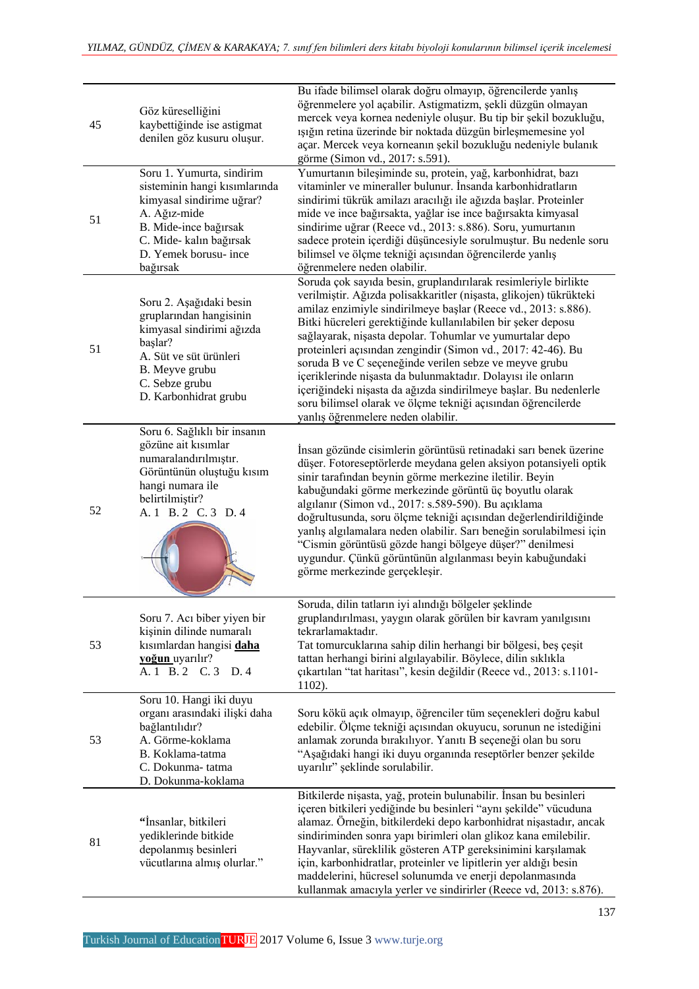| 45 | Göz küreselliğini<br>kaybettiğinde ise astigmat<br>denilen göz kusuru oluşur.                                                                                                                    | Bu ifade bilimsel olarak doğru olmayıp, öğrencilerde yanlış<br>öğrenmelere yol açabilir. Astigmatizm, şekli düzgün olmayan<br>mercek veya kornea nedeniyle oluşur. Bu tip bir şekil bozukluğu,<br>ışığın retina üzerinde bir noktada düzgün birleşmemesine yol<br>açar. Mercek veya korneanın şekil bozukluğu nedeniyle bulanık<br>görme (Simon vd., 2017: s.591).                                                                                                                                                                                                                                                                                                                                       |
|----|--------------------------------------------------------------------------------------------------------------------------------------------------------------------------------------------------|----------------------------------------------------------------------------------------------------------------------------------------------------------------------------------------------------------------------------------------------------------------------------------------------------------------------------------------------------------------------------------------------------------------------------------------------------------------------------------------------------------------------------------------------------------------------------------------------------------------------------------------------------------------------------------------------------------|
| 51 | Soru 1. Yumurta, sindirim<br>sisteminin hangi kısımlarında<br>kimyasal sindirime uğrar?<br>A. Ağız-mide<br>B. Mide-ince bağırsak<br>C. Mide- kalın bağırsak<br>D. Yemek borusu- ince<br>bağırsak | Yumurtanın bileşiminde su, protein, yağ, karbonhidrat, bazı<br>vitaminler ve mineraller bulunur. İnsanda karbonhidratların<br>sindirimi tükrük amilazı aracılığı ile ağızda başlar. Proteinler<br>mide ve ince bağırsakta, yağlar ise ince bağırsakta kimyasal<br>sindirime uğrar (Reece vd., 2013: s.886). Soru, yumurtanın<br>sadece protein içerdiği düşüncesiyle sorulmuştur. Bu nedenle soru<br>bilimsel ve ölçme tekniği açısından öğrencilerde yanlış<br>öğrenmelere neden olabilir.                                                                                                                                                                                                              |
| 51 | Soru 2. Aşağıdaki besin<br>gruplarından hangisinin<br>kimyasal sindirimi ağızda<br>başlar?<br>A. Süt ve süt ürünleri<br>B. Meyve grubu<br>C. Sebze grubu<br>D. Karbonhidrat grubu                | Soruda çok sayıda besin, gruplandırılarak resimleriyle birlikte<br>verilmiştir. Ağızda polisakkaritler (nişasta, glikojen) tükrükteki<br>amilaz enzimiyle sindirilmeye başlar (Reece vd., 2013: s.886).<br>Bitki hücreleri gerektiğinde kullanılabilen bir şeker deposu<br>sağlayarak, nişasta depolar. Tohumlar ve yumurtalar depo<br>proteinleri açısından zengindir (Simon vd., 2017: 42-46). Bu<br>soruda B ve C seçeneğinde verilen sebze ve meyve grubu<br>içeriklerinde nişasta da bulunmaktadır. Dolayısı ile onların<br>içeriğindeki nişasta da ağızda sindirilmeye başlar. Bu nedenlerle<br>soru bilimsel olarak ve ölçme tekniği açısından öğrencilerde<br>yanlış öğrenmelere neden olabilir. |
| 52 | Soru 6. Sağlıklı bir insanın<br>gözüne ait kısımlar<br>numaralandırılmıştır.<br>Görüntünün oluştuğu kısım<br>hangi numara ile<br>belirtilmiştir?<br>A. 1 B. 2 C. 3 D. 4                          | İnsan gözünde cisimlerin görüntüsü retinadaki sarı benek üzerine<br>düşer. Fotoreseptörlerde meydana gelen aksiyon potansiyeli optik<br>sinir tarafından beynin görme merkezine iletilir. Beyin<br>kabuğundaki görme merkezinde görüntü üç boyutlu olarak<br>algılanır (Simon vd., 2017: s.589-590). Bu açıklama<br>doğrultusunda, soru ölçme tekniği açısından değerlendirildiğinde<br>yanlış algılamalara neden olabilir. Sarı beneğin sorulabilmesi için<br>"Cismin görüntüsü gözde hangi bölgeye düşer?" denilmesi<br>uygundur. Çünkü görüntünün algılanması beyin kabuğundaki<br>görme merkezinde gerçekleşir.                                                                                      |
| 53 | Soru 7. Acı biber yiyen bir<br>kişinin dilinde numaralı<br>kısımlardan hangisi daha<br>yoğun uyarılır?<br>A. 1 B. 2 C. 3<br>D.4                                                                  | Soruda, dilin tatların iyi alındığı bölgeler şeklinde<br>gruplandırılması, yaygın olarak görülen bir kavram yanılgısını<br>tekrarlamaktadır.<br>Tat tomurcuklarına sahip dilin herhangi bir bölgesi, beş çeşit<br>tattan herhangi birini algılayabilir. Böylece, dilin sıklıkla<br>çıkartılan "tat haritası", kesin değildir (Reece vd., 2013: s.1101-<br>1102).                                                                                                                                                                                                                                                                                                                                         |
| 53 | Soru 10. Hangi iki duyu<br>organı arasındaki ilişki daha<br>bağlantılıdır?<br>A. Görme-koklama<br>B. Koklama-tatma<br>C. Dokunma-tatma<br>D. Dokunma-koklama                                     | Soru kökü açık olmayıp, öğrenciler tüm seçenekleri doğru kabul<br>edebilir. Ölçme tekniği açısından okuyucu, sorunun ne istediğini<br>anlamak zorunda bırakılıyor. Yanıtı B seçeneği olan bu soru<br>"Aşağıdaki hangi iki duyu organında reseptörler benzer şekilde<br>uyarılır" şeklinde sorulabilir.                                                                                                                                                                                                                                                                                                                                                                                                   |
| 81 | "İnsanlar, bitkileri<br>yediklerinde bitkide<br>depolanmış besinleri<br>vücutlarına almış olurlar."                                                                                              | Bitkilerde nişasta, yağ, protein bulunabilir. İnsan bu besinleri<br>içeren bitkileri yediğinde bu besinleri "aynı şekilde" vücuduna<br>alamaz. Örneğin, bitkilerdeki depo karbonhidrat nişastadır, ancak<br>sindiriminden sonra yapı birimleri olan glikoz kana emilebilir.<br>Hayvanlar, süreklilik gösteren ATP gereksinimini karşılamak<br>için, karbonhidratlar, proteinler ve lipitlerin yer aldığı besin<br>maddelerini, hücresel solunumda ve enerji depolanmasında<br>kullanmak amacıyla yerler ve sindirirler (Reece vd, 2013: s.876).                                                                                                                                                          |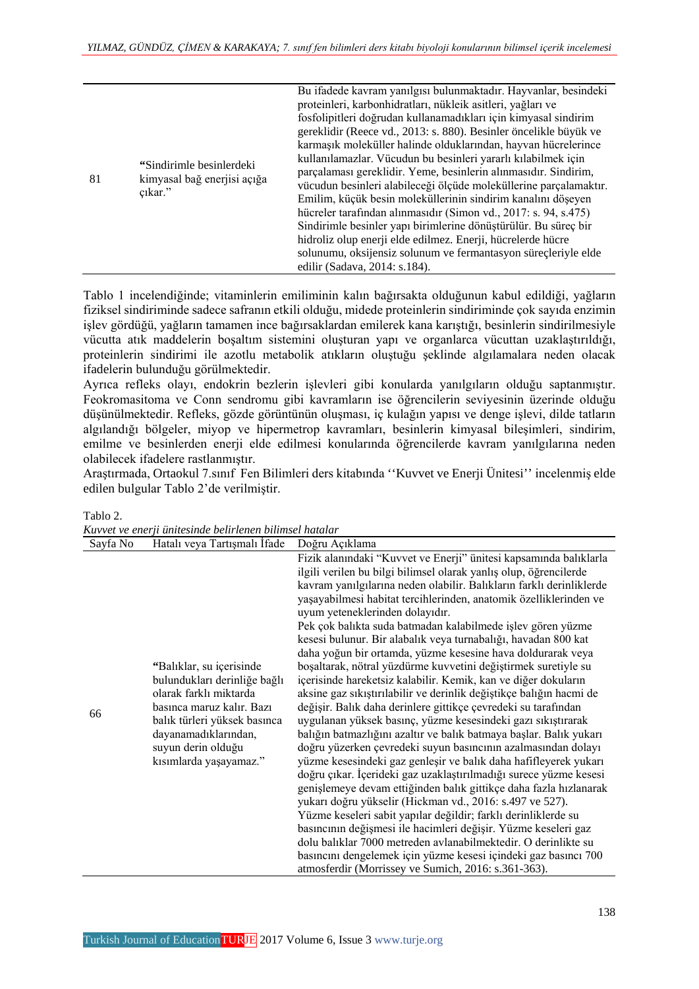|    |                                                                     | Bu ifadede kavram yanılgısı bulunmaktadır. Hayvanlar, besindeki   |
|----|---------------------------------------------------------------------|-------------------------------------------------------------------|
|    | "Sindirimle besinlerdeki"<br>kimyasal bağ enerjisi açığa<br>çıkar." | proteinleri, karbonhidratları, nükleik asitleri, yağları ve       |
|    |                                                                     | fosfolipitleri doğrudan kullanamadıkları için kimyasal sindirim   |
|    |                                                                     | gereklidir (Reece vd., 2013: s. 880). Besinler öncelikle büyük ve |
|    |                                                                     | karmaşık moleküller halinde olduklarından, hayvan hücrelerince    |
| 81 |                                                                     | kullanılamazlar. Vücudun bu besinleri yararlı kılabilmek için     |
|    |                                                                     | parçalaması gereklidir. Yeme, besinlerin alınmasıdır. Sindirim,   |
|    |                                                                     | vücudun besinleri alabileceği ölçüde moleküllerine parçalamaktır. |
|    |                                                                     | Emilim, küçük besin moleküllerinin sindirim kanalını döşeyen      |
|    |                                                                     | hücreler tarafından alınmasıdır (Simon vd., 2017: s. 94, s.475)   |
|    |                                                                     | Sindirimle besinler yapı birimlerine dönüştürülür. Bu süreç bir   |
|    |                                                                     | hidroliz olup enerji elde edilmez. Enerji, hücrelerde hücre       |
|    |                                                                     | solunumu, oksijensiz solunum ve fermantasyon süreçleriyle elde    |
|    |                                                                     | edilir (Sadava, 2014: s.184).                                     |

Tablo 1 incelendiğinde; vitaminlerin emiliminin kalın bağırsakta olduğunun kabul edildiği, yağların fiziksel sindiriminde sadece safranın etkili olduğu, midede proteinlerin sindiriminde çok sayıda enzimin işlev gördüğü, yağların tamamen ince bağırsaklardan emilerek kana karıştığı, besinlerin sindirilmesiyle vücutta atık maddelerin boşaltım sistemini oluşturan yapı ve organlarca vücuttan uzaklaştırıldığı, proteinlerin sindirimi ile azotlu metabolik atıkların oluştuğu şeklinde algılamalara neden olacak ifadelerin bulunduğu görülmektedir.

Ayrıca refleks olayı, endokrin bezlerin işlevleri gibi konularda yanılgıların olduğu saptanmıştır. Feokromasitoma ve Conn sendromu gibi kavramların ise öğrencilerin seviyesinin üzerinde olduğu düşünülmektedir. Refleks, gözde görüntünün oluşması, iç kulağın yapısı ve denge işlevi, dilde tatların algılandığı bölgeler, miyop ve hipermetrop kavramları, besinlerin kimyasal bileşimleri, sindirim, emilme ve besinlerden enerji elde edilmesi konularında öğrencilerde kavram yanılgılarına neden olabilecek ifadelere rastlanmıştır.

Araştırmada, Ortaokul 7.sınıf Fen Bilimleri ders kitabında ''Kuvvet ve Enerji Ünitesi'' incelenmiş elde edilen bulgular Tablo 2'de verilmiştir.

| Kuvvet ve enerji ünitesinde belirlenen bilimsel hatalar |                                                                                                                                                                                                                         |                                                                                                                                                                                                                                                                                                                                                                                                                                                                                                                                                                                                                                                                                                                                                                                                                                                                                                                                                                                                                                                                                                                                                                                                                                                                                                                                                                                                                                                                                                                                                                                                                      |  |
|---------------------------------------------------------|-------------------------------------------------------------------------------------------------------------------------------------------------------------------------------------------------------------------------|----------------------------------------------------------------------------------------------------------------------------------------------------------------------------------------------------------------------------------------------------------------------------------------------------------------------------------------------------------------------------------------------------------------------------------------------------------------------------------------------------------------------------------------------------------------------------------------------------------------------------------------------------------------------------------------------------------------------------------------------------------------------------------------------------------------------------------------------------------------------------------------------------------------------------------------------------------------------------------------------------------------------------------------------------------------------------------------------------------------------------------------------------------------------------------------------------------------------------------------------------------------------------------------------------------------------------------------------------------------------------------------------------------------------------------------------------------------------------------------------------------------------------------------------------------------------------------------------------------------------|--|
| Sayfa No                                                | Hatalı veya Tartışmalı İfade                                                                                                                                                                                            | Doğru Açıklama                                                                                                                                                                                                                                                                                                                                                                                                                                                                                                                                                                                                                                                                                                                                                                                                                                                                                                                                                                                                                                                                                                                                                                                                                                                                                                                                                                                                                                                                                                                                                                                                       |  |
| 66                                                      | "Balıklar, su içerisinde<br>bulundukları derinliğe bağlı<br>olarak farklı miktarda<br>basınca maruz kalır. Bazı<br>balık türleri yüksek basınca<br>dayanamadıklarından,<br>suyun derin olduğu<br>kısımlarda yaşayamaz." | Fizik alanındaki "Kuvvet ve Enerji" ünitesi kapsamında balıklarla<br>ilgili verilen bu bilgi bilimsel olarak yanlış olup, öğrencilerde<br>kavram yanılgılarına neden olabilir. Balıkların farklı derinliklerde<br>yaşayabilmesi habitat tercihlerinden, anatomik özelliklerinden ve<br>uyum yeteneklerinden dolayıdır.<br>Pek çok balıkta suda batmadan kalabilmede işlev gören yüzme<br>kesesi bulunur. Bir alabalık veya turnabalığı, havadan 800 kat<br>daha yoğun bir ortamda, yüzme kesesine hava doldurarak veya<br>boşaltarak, nötral yüzdürme kuvvetini değiştirmek suretiyle su<br>içerisinde hareketsiz kalabilir. Kemik, kan ve diğer dokuların<br>aksine gaz sıkıştırılabilir ve derinlik değiştikçe balığın hacmi de<br>değişir. Balık daha derinlere gittikçe çevredeki su tarafından<br>uygulanan yüksek basınç, yüzme kesesindeki gazı sıkıştırarak<br>balığın batmazlığını azaltır ve balık batmaya başlar. Balık yukarı<br>doğru yüzerken çevredeki suyun basıncının azalmasından dolayı<br>yüzme kesesindeki gaz genleşir ve balık daha hafifleyerek yukarı<br>doğru çıkar. İçerideki gaz uzaklaştırılmadığı surece yüzme kesesi<br>genişlemeye devam ettiğinden balık gittikçe daha fazla hızlanarak<br>yukarı doğru yükselir (Hickman vd., 2016: s.497 ve 527).<br>Yüzme keseleri sabit yapılar değildir; farklı derinliklerde su<br>basıncının değişmesi ile hacimleri değişir. Yüzme keseleri gaz<br>dolu balıklar 7000 metreden avlanabilmektedir. O derinlikte su<br>basıncını dengelemek için yüzme kesesi içindeki gaz basıncı 700<br>atmosferdir (Morrissey ve Sumich, 2016: s.361-363). |  |

Tablo 2.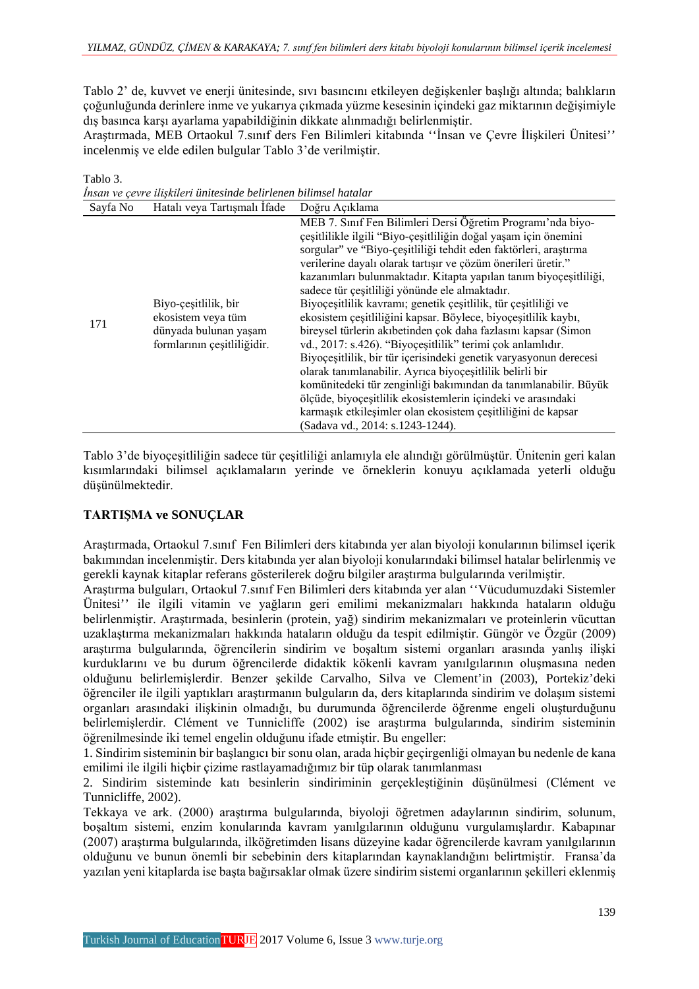Tablo 2' de, kuvvet ve enerji ünitesinde, sıvı basıncını etkileyen değişkenler başlığı altında; balıkların çoğunluğunda derinlere inme ve yukarıya çıkmada yüzme kesesinin içindeki gaz miktarının değişimiyle dış basınca karşı ayarlama yapabildiğinin dikkate alınmadığı belirlenmiştir.

Araştırmada, MEB Ortaokul 7.sınıf ders Fen Bilimleri kitabında ''İnsan ve Çevre İlişkileri Ünitesi'' incelenmiş ve elde edilen bulgular Tablo 3'de verilmiştir.

Tablo 3.

*İnsan ve çevre ilişkileri ünitesinde belirlenen bilimsel hatalar*

| Sayfa No | Hatalı veya Tartışmalı İfade                                                                       | Doğru Açıklama                                                                                                                                                                                                                                                                                                                                                                                                                                                                                                                                                                                                                                                                                                                                                                                                                                                                                                                                                                                                                         |
|----------|----------------------------------------------------------------------------------------------------|----------------------------------------------------------------------------------------------------------------------------------------------------------------------------------------------------------------------------------------------------------------------------------------------------------------------------------------------------------------------------------------------------------------------------------------------------------------------------------------------------------------------------------------------------------------------------------------------------------------------------------------------------------------------------------------------------------------------------------------------------------------------------------------------------------------------------------------------------------------------------------------------------------------------------------------------------------------------------------------------------------------------------------------|
| 171      | Biyo-cesitlilik, bir<br>ekosistem veya tüm<br>dünyada bulunan yaşam<br>formlarının çeşitliliğidir. | MEB 7. Sınıf Fen Bilimleri Dersi Öğretim Programı'nda biyo-<br>çeşitlilikle ilgili "Biyo-çeşitliliğin doğal yaşam için önemini<br>sorgular" ve "Biyo-çeşitliliği tehdit eden faktörleri, araştırma<br>verilerine dayalı olarak tartışır ve çözüm önerileri üretir."<br>kazanımları bulunmaktadır. Kitapta yapılan tanım biyoçeşitliliği,<br>sadece tür çeşitliliği yönünde ele almaktadır.<br>Biyoçeşitlilik kavramı; genetik çeşitlilik, tür çeşitliliği ve<br>ekosistem çeşitliliğini kapsar. Böylece, biyoçeşitlilik kaybı,<br>bireysel türlerin akıbetinden çok daha fazlasını kapsar (Simon<br>vd., 2017: s.426). "Biyoçeşitlilik" terimi çok anlamlıdır.<br>Biyoçeşitlilik, bir tür içerisindeki genetik varyasyonun derecesi<br>olarak tanımlanabilir. Ayrıca biyoçeşitlilik belirli bir<br>komünitedeki tür zenginliği bakımından da tanımlanabilir. Büyük<br>ölçüde, biyoçeşitlilik ekosistemlerin içindeki ve arasındaki<br>karmaşık etkileşimler olan ekosistem çeşitliliğini de kapsar<br>(Sadava vd., 2014: s.1243-1244). |

Tablo 3'de biyoçeşitliliğin sadece tür çeşitliliği anlamıyla ele alındığı görülmüştür. Ünitenin geri kalan kısımlarındaki bilimsel açıklamaların yerinde ve örneklerin konuyu açıklamada yeterli olduğu düşünülmektedir.

# **TARTIŞMA ve SONUÇLAR**

Araştırmada, Ortaokul 7.sınıf Fen Bilimleri ders kitabında yer alan biyoloji konularının bilimsel içerik bakımından incelenmiştir. Ders kitabında yer alan biyoloji konularındaki bilimsel hatalar belirlenmiş ve gerekli kaynak kitaplar referans gösterilerek doğru bilgiler araştırma bulgularında verilmiştir.

Araştırma bulguları, Ortaokul 7.sınıf Fen Bilimleri ders kitabında yer alan ''Vücudumuzdaki Sistemler Ünitesi'' ile ilgili vitamin ve yağların geri emilimi mekanizmaları hakkında hataların olduğu belirlenmiştir. Araştırmada, besinlerin (protein, yağ) sindirim mekanizmaları ve proteinlerin vücuttan uzaklaştırma mekanizmaları hakkında hataların olduğu da tespit edilmiştir. Güngör ve Özgür (2009) araştırma bulgularında, öğrencilerin sindirim ve boşaltım sistemi organları arasında yanlış ilişki kurduklarını ve bu durum öğrencilerde didaktik kökenli kavram yanılgılarının oluşmasına neden olduğunu belirlemişlerdir. Benzer şekilde Carvalho, Silva ve Clement'in (2003), Portekiz'deki öğrenciler ile ilgili yaptıkları araştırmanın bulguların da, ders kitaplarında sindirim ve dolaşım sistemi organları arasındaki ilişkinin olmadığı, bu durumunda öğrencilerde öğrenme engeli oluşturduğunu belirlemişlerdir. Clément ve Tunnicliffe (2002) ise araştırma bulgularında, sindirim sisteminin öğrenilmesinde iki temel engelin olduğunu ifade etmiştir. Bu engeller:

1. Sindirim sisteminin bir başlangıcı bir sonu olan, arada hiçbir geçirgenliği olmayan bu nedenle de kana emilimi ile ilgili hiçbir çizime rastlayamadığımız bir tüp olarak tanımlanması

2. Sindirim sisteminde katı besinlerin sindiriminin gerçekleştiğinin düşünülmesi (Clément ve Tunnicliffe, 2002).

Tekkaya ve ark. (2000) araştırma bulgularında, biyoloji öğretmen adaylarının sindirim, solunum, boşaltım sistemi, enzim konularında kavram yanılgılarının olduğunu vurgulamışlardır. Kabapınar (2007) araştırma bulgularında, ilköğretimden lisans düzeyine kadar öğrencilerde kavram yanılgılarının olduğunu ve bunun önemli bir sebebinin ders kitaplarından kaynaklandığını belirtmiştir. Fransa'da yazılan yeni kitaplarda ise başta bağırsaklar olmak üzere sindirim sistemi organlarının şekilleri eklenmiş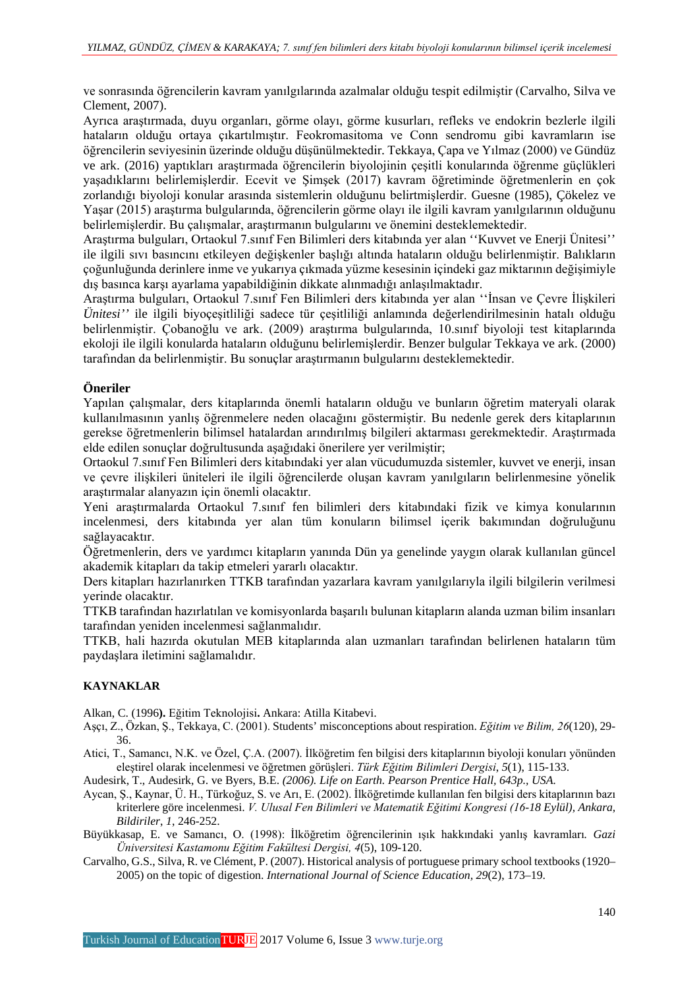ve sonrasında öğrencilerin kavram yanılgılarında azalmalar olduğu tespit edilmiştir (Carvalho, Silva ve Clement, 2007).

Ayrıca araştırmada, duyu organları, görme olayı, görme kusurları, refleks ve endokrin bezlerle ilgili hataların olduğu ortaya çıkartılmıştır. Feokromasitoma ve Conn sendromu gibi kavramların ise öğrencilerin seviyesinin üzerinde olduğu düşünülmektedir. Tekkaya, Çapa ve Yılmaz (2000) ve Gündüz ve ark. (2016) yaptıkları araştırmada öğrencilerin biyolojinin çeşitli konularında öğrenme güçlükleri yaşadıklarını belirlemişlerdir. Ecevit ve Şimşek (2017) kavram öğretiminde öğretmenlerin en çok zorlandığı biyoloji konular arasında sistemlerin olduğunu belirtmişlerdir. Guesne (1985), Çökelez ve Yaşar (2015) araştırma bulgularında, öğrencilerin görme olayı ile ilgili kavram yanılgılarının olduğunu belirlemişlerdir. Bu çalışmalar, araştırmanın bulgularını ve önemini desteklemektedir.

Araştırma bulguları, Ortaokul 7.sınıf Fen Bilimleri ders kitabında yer alan ''Kuvvet ve Enerji Ünitesi'' ile ilgili sıvı basıncını etkileyen değişkenler başlığı altında hataların olduğu belirlenmiştir. Balıkların çoğunluğunda derinlere inme ve yukarıya çıkmada yüzme kesesinin içindeki gaz miktarının değişimiyle dış basınca karşı ayarlama yapabildiğinin dikkate alınmadığı anlaşılmaktadır.

Araştırma bulguları, Ortaokul 7.sınıf Fen Bilimleri ders kitabında yer alan ''İnsan ve Çevre İlişkileri *Ünitesi''* ile ilgili biyoçeşitliliği sadece tür çeşitliliği anlamında değerlendirilmesinin hatalı olduğu belirlenmiştir. Çobanoğlu ve ark. (2009) araştırma bulgularında, 10.sınıf biyoloji test kitaplarında ekoloji ile ilgili konularda hataların olduğunu belirlemişlerdir. Benzer bulgular Tekkaya ve ark. (2000) tarafından da belirlenmiştir. Bu sonuçlar araştırmanın bulgularını desteklemektedir.

### **Öneriler**

Yapılan çalışmalar, ders kitaplarında önemli hataların olduğu ve bunların öğretim materyali olarak kullanılmasının yanlış öğrenmelere neden olacağını göstermiştir. Bu nedenle gerek ders kitaplarının gerekse öğretmenlerin bilimsel hatalardan arındırılmış bilgileri aktarması gerekmektedir. Araştırmada elde edilen sonuçlar doğrultusunda aşağıdaki önerilere yer verilmiştir;

Ortaokul 7.sınıf Fen Bilimleri ders kitabındaki yer alan vücudumuzda sistemler, kuvvet ve enerji, insan ve çevre ilişkileri üniteleri ile ilgili öğrencilerde oluşan kavram yanılgıların belirlenmesine yönelik araştırmalar alanyazın için önemli olacaktır.

Yeni araştırmalarda Ortaokul 7.sınıf fen bilimleri ders kitabındaki fizik ve kimya konularının incelenmesi, ders kitabında yer alan tüm konuların bilimsel içerik bakımından doğruluğunu sağlayacaktır.

Öğretmenlerin, ders ve yardımcı kitapların yanında Dün ya genelinde yaygın olarak kullanılan güncel akademik kitapları da takip etmeleri yararlı olacaktır.

Ders kitapları hazırlanırken TTKB tarafından yazarlara kavram yanılgılarıyla ilgili bilgilerin verilmesi yerinde olacaktır.

TTKB tarafından hazırlatılan ve komisyonlarda başarılı bulunan kitapların alanda uzman bilim insanları tarafından yeniden incelenmesi sağlanmalıdır.

TTKB, hali hazırda okutulan MEB kitaplarında alan uzmanları tarafından belirlenen hataların tüm paydaşlara iletimini sağlamalıdır.

#### **KAYNAKLAR**

Alkan, C. (1996**).** Eğitim Teknolojisi**.** Ankara: Atilla Kitabevi.

Aşçı, Z., Özkan, Ş., Tekkaya, C. (2001). Students' misconceptions about respiration. *Eğitim ve Bilim, 26*(120), 29- 36.

Atici, T., Samancı, N.K. ve Özel, Ç.A. (2007). İlköğretim fen bilgisi ders kitaplarının biyoloji konuları yönünden eleştirel olarak incelenmesi ve öğretmen görüşleri. *Türk Eğitim Bilimleri Dergisi*, *5*(1), 115-133.

Audesirk, T., Audesirk, G. ve Byers, B.E. *(2006). Life on Earth. Pearson Prentice Hall, 643p., USA.*

- Aycan, Ş., Kaynar, Ü. H., Türkoğuz, S. ve Arı, E. (2002). İlköğretimde kullanılan fen bilgisi ders kitaplarının bazı kriterlere göre incelenmesi. *V. Ulusal Fen Bilimleri ve Matematik Eğitimi Kongresi (16-18 Eylül), Ankara, Bildiriler*, *1*, 246-252.
- Büyükkasap, E. ve Samancı, O. (1998): İlköğretim öğrencilerinin ışık hakkındaki yanlış kavramları*. Gazi Üniversitesi Kastamonu Eğitim Fakültesi Dergisi, 4*(5), 109-120.
- Carvalho, G.S., Silva, R. ve Clément, P. (2007). Historical analysis of portuguese primary school textbooks (1920– 2005) on the topic of digestion. *International Journal of Science Education, 29*(2), 173–19.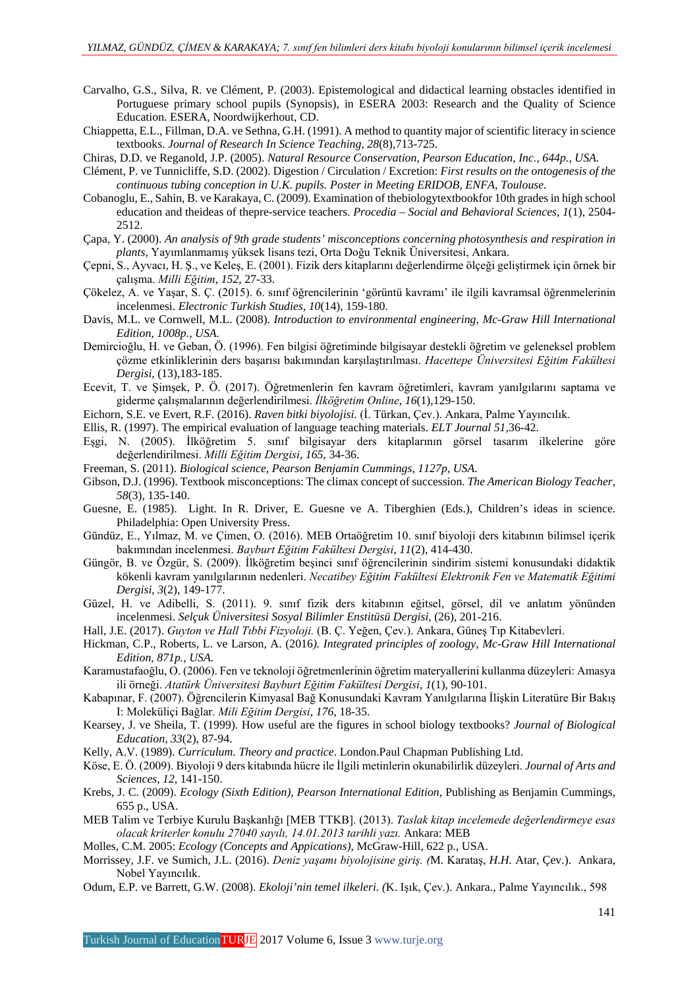- Carvalho, G.S., Silva, R. ve Clément, P. (2003). Epistemological and didactical learning obstacles identified in Portuguese primary school pupils (Synopsis), in ESERA 2003: Research and the Quality of Science Education. ESERA, Noordwijkerhout, CD.
- Chiappetta, E.L., Fillman, D.A. ve Sethna, G.H. (1991). A method to quantity major of scientific literacy in science textbooks. *Journal of Research In Science Teaching, 28*(8),713-725.
- Chiras, D.D. ve Reganold, J.P. (2005). *Natural Resource Conservation, Pearson Education, Inc., 644p., USA.*
- Clément, P. ve Tunnicliffe, S.D. (2002). Digestion / Circulation / Excretion: *First results on the ontogenesis of the continuous tubing conception in U.K. pupils. Poster in Meeting ERIDOB, ENFA, Toulouse.*
- Cobanoglu, E., Sahin, B. ve Karakaya, C. (2009). Examination of thebiologytextbookfor 10th grades in high school education and theideas of thepre-service teachers. *Procedia – Social and Behavioral Sciences, 1*(1), 2504- 2512.
- Çapa, Y. (2000). *An analysis of 9th grade students' misconceptions concerning photosynthesis and respiration in plants,* Yayımlanmamış yüksek lisans tezi, Orta Doğu Teknik Üniversitesi, Ankara.
- Çepni, S., Ayvacı, H. Ş., ve Keleş, E. (2001). Fizik ders kitaplarını değerlendirme ölçeği geliştirmek için örnek bir çalışma. *Milli Eğitim*, *152*, 27-33.
- Çökelez, A. ve Yaşar, S. Ç. (2015). 6. sınıf öğrencilerinin 'görüntü kavramı' ile ilgili kavramsal öğrenmelerinin incelenmesi. *Electronic Turkish Studies, 10*(14), 159-180.
- Davis, M.L. ve Cornwell, M.L. (2008). *Introduction to environmental engineering, Mc-Graw Hill International Edition, 1008p., USA.*
- Demircioğlu, H. ve Geban, Ö. (1996). Fen bilgisi öğretiminde bilgisayar destekli öğretim ve geleneksel problem çözme etkinliklerinin ders başarısı bakımından karşılaştırılması. *Hacettepe Üniversitesi Eğitim Fakültesi Dergisi*, (13),183-185.
- Ecevit, T. ve Şimşek, P. Ö. (2017). Öğretmenlerin fen kavram öğretimleri, kavram yanılgılarını saptama ve giderme çalışmalarının değerlendirilmesi. *İlköğretim Online*, *16*(1),129-150.
- Eichorn, S.E. ve Evert, R.F. (2016). *Raven bitki biyolojisi.* (İ. Türkan, Çev.). Ankara, Palme Yayıncılık.
- Ellis, R. (1997). The empirical evaluation of language teaching materials. *ELT Journal 51,*36-42.
- Eşgi, N. (2005). İlköğretim 5. sınıf bilgisayar ders kitaplarının görsel tasarım ilkelerine göre değerlendirilmesi. *Milli Eğitim Dergisi*, *165*, 34-36.
- Freeman, S. (2011). *Biological science, Pearson Benjamin Cummings, 1127p, USA.*
- Gibson, D.J. (1996). Textbook misconceptions: The climax concept of succession. *The American Biology Teacher*, *58*(3), 135-140.
- Guesne, E. (1985). Light. In R. Driver, E. Guesne ve A. Tiberghien (Eds.), Children's ideas in science. Philadelphia: Open University Press.
- Gündüz, E., Yılmaz, M. ve Çimen, O. (2016). MEB Ortaöğretim 10. sınıf biyoloji ders kitabının bilimsel içerik bakımından incelenmesi. *Bayburt Eğitim Fakültesi Dergisi*, *11*(2), 414-430.
- Güngör, B. ve Özgür, S. (2009). İlköğretim beşinci sınıf öğrencilerinin sindirim sistemi konusundaki didaktik kökenli kavram yanılgılarının nedenleri. *Necatibey Eğitim Fakültesi Elektronik Fen ve Matematik Eğitimi Dergisi*, *3*(2), 149-177.
- Güzel, H. ve Adibelli, S. (2011). 9. sınıf fizik ders kitabının eğitsel, görsel, dil ve anlatım yönünden incelenmesi. *Selçuk Üniversitesi Sosyal Bilimler Enstitüsü Dergisi*, (26), 201-216.
- Hall, J.E. (2017). *Guyton ve Hall Tıbbi Fizyoloji.* (B. Ç. Yeğen, Çev.). Ankara, Güneş Tıp Kitabevleri.
- Hickman, C.P., Roberts, L. ve Larson, A. (2016*). Integrated principles of zoology, Mc-Graw Hill International Edition, 871p., USA.*
- Karamustafaoğlu, O. (2006). Fen ve teknoloji öğretmenlerinin öğretim materyallerini kullanma düzeyleri: Amasya ili örneği. *Atatürk Üniversitesi Bayburt Eğitim Fakültesi Dergisi*, *1*(1), 90-101.
- Kabapınar, F. (2007). Öğrencilerin Kimyasal Bağ Konusundaki Kavram Yanılgılarına İlişkin Literatüre Bir Bakış I: Moleküliçi Bağlar. *Mili Eğitim Dergisi*, *176*, 18-35.
- Kearsey, J. ve Sheila, T. (1999). How useful are the figures in school biology textbooks? *Journal of Biological Education*, *33*(2), 87-94.
- Kelly, A.V. (1989). *Curriculum. Theory and practice*. London.Paul Chapman Publishing Ltd.
- Köse, E. Ö. (2009). Biyoloji 9 ders kitabında hücre ile İlgili metinlerin okunabilirlik düzeyleri. *Journal of Arts and Sciences*, *12,* 141-150.
- Krebs, J. C. (2009). *Ecology (Sixth Edition), Pearson International Edition,* Publishing as Benjamin Cummings, 655 p., USA.
- MEB Talim ve Terbiye Kurulu Başkanlığı [MEB TTKB]. (2013). *Taslak kitap incelemede değerlendirmeye esas olacak kriterler konulu 27040 sayılı, 14.01.2013 tarihli yazı.* Ankara: MEB
- Molles, C.M. 2005: *Ecology (Concepts and Appications),* McGraw-Hill, 622 p., USA.
- Morrissey, J.F. ve Sumich, J.L. (2016). *Deniz yaşamı biyolojisine giriş. (*M. Karataş, *H.H.* Atar, Çev.). Ankara, Nobel Yayıncılık.
- Odum, E.P. ve Barrett, G.W. (2008). *Ekoloji'nin temel ilkeleri. (*K. Işık, Çev.). Ankara., Palme Yayıncılık., 598